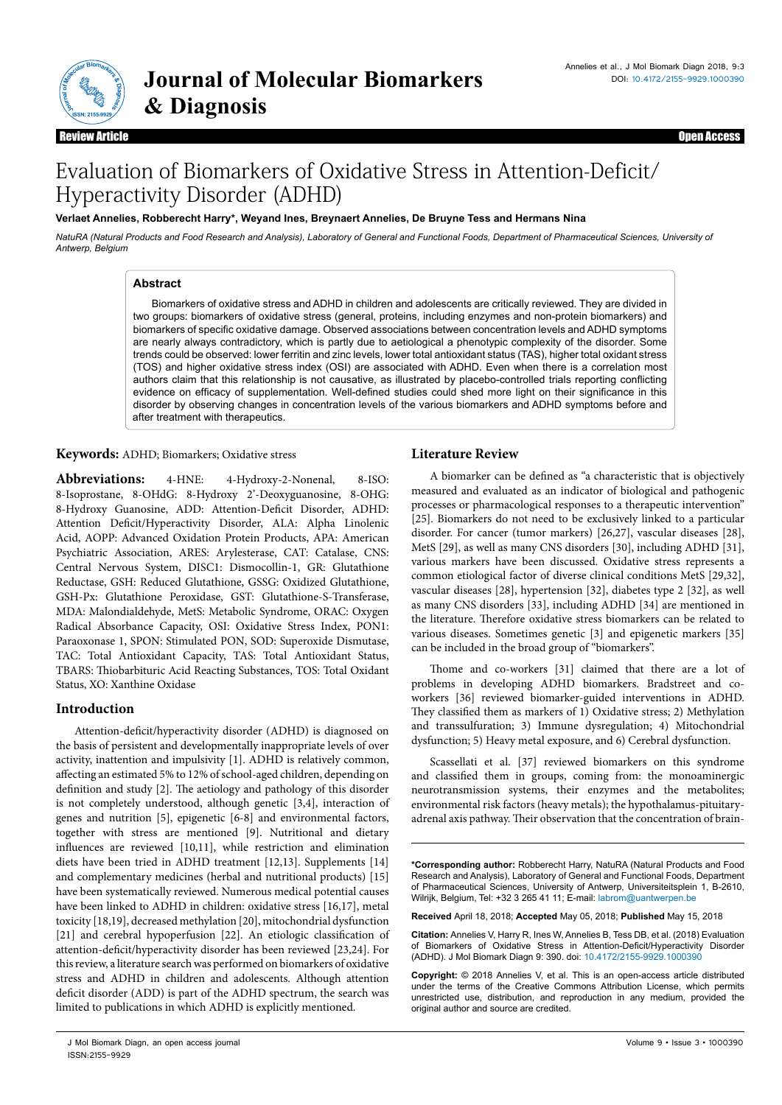

Review Article Open Access

# Evaluation of Biomarkers of Oxidative Stress in Attention-Deficit/ Hyperactivity Disorder (ADHD)

#### **Verlaet Annelies, Robberecht Harry\*, Weyand Ines, Breynaert Annelies, De Bruyne Tess and Hermans Nina**

NatuRA (Natural Products and Food Research and Analysis), Laboratory of General and Functional Foods, Department of Pharmaceutical Sciences, University of *Antwerp, Belgium*

## **Abstract**

Biomarkers of oxidative stress and ADHD in children and adolescents are critically reviewed. They are divided in two groups: biomarkers of oxidative stress (general, proteins, including enzymes and non-protein biomarkers) and biomarkers of specific oxidative damage. Observed associations between concentration levels and ADHD symptoms are nearly always contradictory, which is partly due to aetiological a phenotypic complexity of the disorder. Some trends could be observed: lower ferritin and zinc levels, lower total antioxidant status (TAS), higher total oxidant stress (TOS) and higher oxidative stress index (OSI) are associated with ADHD. Even when there is a correlation most authors claim that this relationship is not causative, as illustrated by placebo-controlled trials reporting conflicting evidence on efficacy of supplementation. Well-defined studies could shed more light on their significance in this disorder by observing changes in concentration levels of the various biomarkers and ADHD symptoms before and after treatment with therapeutics.

**Keywords:** ADHD; Biomarkers; Oxidative stress

**Abbreviations:** 4-HNE: 4-Hydroxy-2-Nonenal, 8-ISO: 8-Isoprostane, 8-OHdG: 8-Hydroxy 2'-Deoxyguanosine, 8-OHG: 8-Hydroxy Guanosine, ADD: Attention-Deficit Disorder, ADHD: Attention Deficit/Hyperactivity Disorder, ALA: Alpha Linolenic Acid, AOPP: Advanced Oxidation Protein Products, APA: American Psychiatric Association, ARES: Arylesterase, CAT: Catalase, CNS: Central Nervous System, DISC1: Dismocollin-1, GR: Glutathione Reductase, GSH: Reduced Glutathione, GSSG: Oxidized Glutathione, GSH-Px: Glutathione Peroxidase, GST: Glutathione-S-Transferase, MDA: Malondialdehyde, MetS: Metabolic Syndrome, ORAC: Oxygen Radical Absorbance Capacity, OSI: Oxidative Stress Index, PON1: Paraoxonase 1, SPON: Stimulated PON, SOD: Superoxide Dismutase, TAC: Total Antioxidant Capacity, TAS: Total Antioxidant Status, TBARS: Thiobarbituric Acid Reacting Substances, TOS: Total Oxidant Status, XO: Xanthine Oxidase

## **Introduction**

Attention-deficit/hyperactivity disorder (ADHD) is diagnosed on the basis of persistent and developmentally inappropriate levels of over activity, inattention and impulsivity [1]. ADHD is relatively common, affecting an estimated 5% to 12% of school-aged children, depending on definition and study [2]. The aetiology and pathology of this disorder is not completely understood, although genetic [3,4], interaction of genes and nutrition [5], epigenetic [6-8] and environmental factors, together with stress are mentioned [9]. Nutritional and dietary influences are reviewed [10,11], while restriction and elimination diets have been tried in ADHD treatment [12,13]. Supplements [14] and complementary medicines (herbal and nutritional products) [15] have been systematically reviewed. Numerous medical potential causes have been linked to ADHD in children: oxidative stress [16,17], metal toxicity [18,19], decreased methylation [20], mitochondrial dysfunction [21] and cerebral hypoperfusion [22]. An etiologic classification of attention-deficit/hyperactivity disorder has been reviewed [23,24]. For this review, a literature search was performed on biomarkers of oxidative stress and ADHD in children and adolescents. Although attention deficit disorder (ADD) is part of the ADHD spectrum, the search was limited to publications in which ADHD is explicitly mentioned.

# **Literature Review**

A biomarker can be defined as "a characteristic that is objectively measured and evaluated as an indicator of biological and pathogenic processes or pharmacological responses to a therapeutic intervention" [25]. Biomarkers do not need to be exclusively linked to a particular disorder. For cancer (tumor markers) [26,27], vascular diseases [28], MetS [29], as well as many CNS disorders [30], including ADHD [31], various markers have been discussed. Oxidative stress represents a common etiological factor of diverse clinical conditions MetS [29,32], vascular diseases [28], hypertension [32], diabetes type 2 [32], as well as many CNS disorders [33], including ADHD [34] are mentioned in the literature. Therefore oxidative stress biomarkers can be related to various diseases. Sometimes genetic [3] and epigenetic markers [35] can be included in the broad group of "biomarkers".

Thome and co-workers [31] claimed that there are a lot of problems in developing ADHD biomarkers. Bradstreet and coworkers [36] reviewed biomarker-guided interventions in ADHD. They classified them as markers of 1) Oxidative stress; 2) Methylation and transsulfuration; 3) Immune dysregulation; 4) Mitochondrial dysfunction; 5) Heavy metal exposure, and 6) Cerebral dysfunction.

Scassellati et al. [37] reviewed biomarkers on this syndrome and classified them in groups, coming from: the monoaminergic neurotransmission systems, their enzymes and the metabolites; environmental risk factors (heavy metals); the hypothalamus-pituitaryadrenal axis pathway. Their observation that the concentration of brain-

**\*Corresponding author:** Robberecht Harry, NatuRA (Natural Products and Food Research and Analysis), Laboratory of General and Functional Foods, Department of Pharmaceutical Sciences, University of Antwerp, Universiteitsplein 1, B-2610, Wilrijk, Belgium, Tel: +32 3 265 41 11; E-mail: [labrom@uantwerpen.be](mailto:labrom@uantwerpen.be)

**Received** April 18, 2018; **Accepted** May 05, 2018; **Published** May 15, 2018

**Citation:** Annelies V, Harry R, Ines W, Annelies B, Tess DB, et al. (2018) Evaluation of Biomarkers of Oxidative Stress in Attention-Deficit/Hyperactivity Disorder (ADHD). J Mol Biomark Diagn 9: 390. doi: 10.4172/2155-9929.1000390

**Copyright:** © 2018 Annelies V, et al. This is an open-access article distributed under the terms of the Creative Commons Attribution License, which permits unrestricted use, distribution, and reproduction in any medium, provided the original author and source are credited.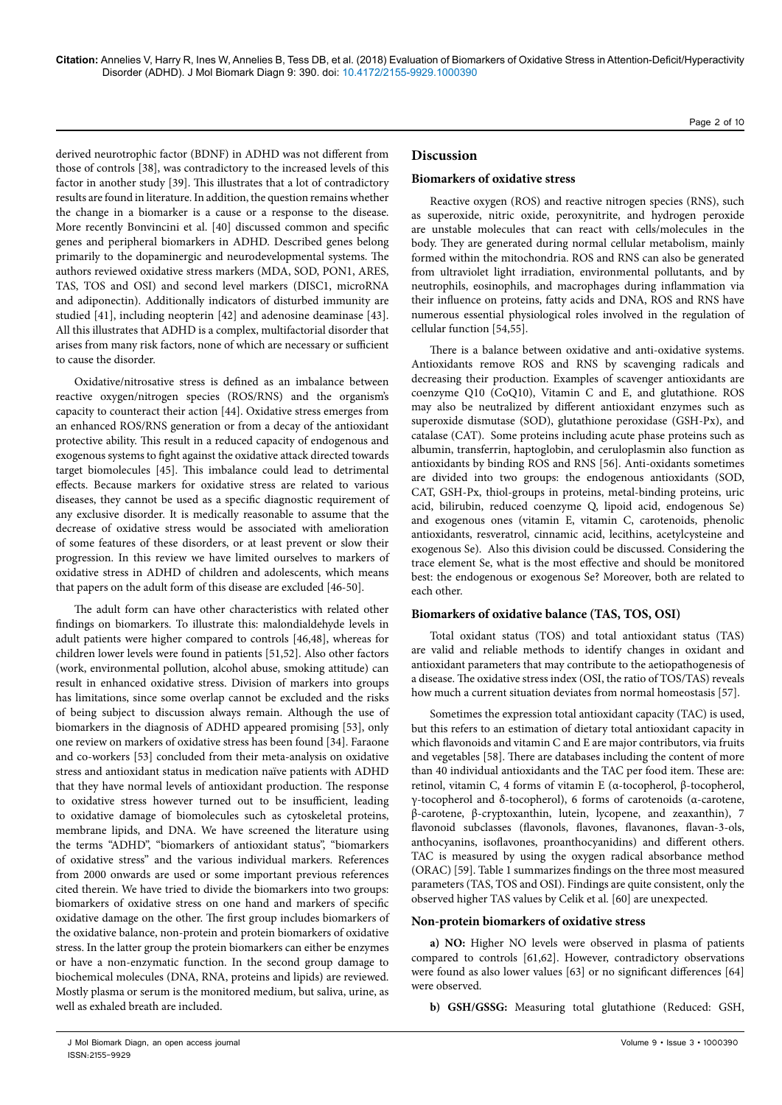derived neurotrophic factor (BDNF) in ADHD was not different from those of controls [38], was contradictory to the increased levels of this factor in another study [39]. This illustrates that a lot of contradictory results are found in literature. In addition, the question remains whether the change in a biomarker is a cause or a response to the disease. More recently Bonvincini et al. [40] discussed common and specific genes and peripheral biomarkers in ADHD. Described genes belong primarily to the dopaminergic and neurodevelopmental systems. The authors reviewed oxidative stress markers (MDA, SOD, PON1, ARES, TAS, TOS and OSI) and second level markers (DISC1, microRNA and adiponectin). Additionally indicators of disturbed immunity are studied [41], including neopterin [42] and adenosine deaminase [43]. All this illustrates that ADHD is a complex, multifactorial disorder that arises from many risk factors, none of which are necessary or sufficient to cause the disorder.

Oxidative/nitrosative stress is defined as an imbalance between reactive oxygen/nitrogen species (ROS/RNS) and the organism's capacity to counteract their action [44]. Oxidative stress emerges from an enhanced ROS/RNS generation or from a decay of the antioxidant protective ability. This result in a reduced capacity of endogenous and exogenous systems to fight against the oxidative attack directed towards target biomolecules [45]. This imbalance could lead to detrimental effects. Because markers for oxidative stress are related to various diseases, they cannot be used as a specific diagnostic requirement of any exclusive disorder. It is medically reasonable to assume that the decrease of oxidative stress would be associated with amelioration of some features of these disorders, or at least prevent or slow their progression. In this review we have limited ourselves to markers of oxidative stress in ADHD of children and adolescents, which means that papers on the adult form of this disease are excluded [46-50].

The adult form can have other characteristics with related other findings on biomarkers. To illustrate this: malondialdehyde levels in adult patients were higher compared to controls [46,48], whereas for children lower levels were found in patients [51,52]. Also other factors (work, environmental pollution, alcohol abuse, smoking attitude) can result in enhanced oxidative stress. Division of markers into groups has limitations, since some overlap cannot be excluded and the risks of being subject to discussion always remain. Although the use of biomarkers in the diagnosis of ADHD appeared promising [53], only one review on markers of oxidative stress has been found [34]. Faraone and co-workers [53] concluded from their meta-analysis on oxidative stress and antioxidant status in medication naïve patients with ADHD that they have normal levels of antioxidant production. The response to oxidative stress however turned out to be insufficient, leading to oxidative damage of biomolecules such as cytoskeletal proteins, membrane lipids, and DNA. We have screened the literature using the terms "ADHD", "biomarkers of antioxidant status", "biomarkers of oxidative stress" and the various individual markers. References from 2000 onwards are used or some important previous references cited therein. We have tried to divide the biomarkers into two groups: biomarkers of oxidative stress on one hand and markers of specific oxidative damage on the other. The first group includes biomarkers of the oxidative balance, non-protein and protein biomarkers of oxidative stress. In the latter group the protein biomarkers can either be enzymes or have a non-enzymatic function. In the second group damage to biochemical molecules (DNA, RNA, proteins and lipids) are reviewed. Mostly plasma or serum is the monitored medium, but saliva, urine, as well as exhaled breath are included.

# **Discussion**

#### **Biomarkers of oxidative stress**

Reactive oxygen (ROS) and reactive nitrogen species (RNS), such as superoxide, nitric oxide, peroxynitrite, and hydrogen peroxide are unstable molecules that can react with cells/molecules in the body. They are generated during normal cellular metabolism, mainly formed within the mitochondria. ROS and RNS can also be generated from ultraviolet light irradiation, environmental pollutants, and by neutrophils, eosinophils, and macrophages during inflammation via their influence on proteins, fatty acids and DNA, ROS and RNS have numerous essential physiological roles involved in the regulation of cellular function [54,55].

There is a balance between oxidative and anti-oxidative systems. Antioxidants remove ROS and RNS by scavenging radicals and decreasing their production. Examples of scavenger antioxidants are coenzyme Q10 (CoQ10), Vitamin C and E, and glutathione. ROS may also be neutralized by different antioxidant enzymes such as superoxide dismutase (SOD), glutathione peroxidase (GSH-Px), and catalase (CAT). Some proteins including acute phase proteins such as albumin, transferrin, haptoglobin, and ceruloplasmin also function as antioxidants by binding ROS and RNS [56]. Anti-oxidants sometimes are divided into two groups: the endogenous antioxidants (SOD, CAT, GSH-Px, thiol-groups in proteins, metal-binding proteins, uric acid, bilirubin, reduced coenzyme Q, lipoid acid, endogenous Se) and exogenous ones (vitamin E, vitamin C, carotenoids, phenolic antioxidants, resveratrol, cinnamic acid, lecithins, acetylcysteine and exogenous Se). Also this division could be discussed. Considering the trace element Se, what is the most effective and should be monitored best: the endogenous or exogenous Se? Moreover, both are related to each other.

# **Biomarkers of oxidative balance (TAS, TOS, OSI)**

Total oxidant status (TOS) and total antioxidant status (TAS) are valid and reliable methods to identify changes in oxidant and antioxidant parameters that may contribute to the aetiopathogenesis of a disease. The oxidative stress index (OSI, the ratio of TOS/TAS) reveals how much a current situation deviates from normal homeostasis [57].

Sometimes the expression total antioxidant capacity (TAC) is used, but this refers to an estimation of dietary total antioxidant capacity in which flavonoids and vitamin C and E are major contributors, via fruits and vegetables [58]. There are databases including the content of more than 40 individual antioxidants and the TAC per food item. These are: retinol, vitamin C, 4 forms of vitamin E (α-tocopherol, β-tocopherol, γ-tocopherol and δ-tocopherol), 6 forms of carotenoids (α-carotene, β-carotene, β-cryptoxanthin, lutein, lycopene, and zeaxanthin), 7 flavonoid subclasses (flavonols, flavones, flavanones, flavan-3-ols, anthocyanins, isoflavones, proanthocyanidins) and different others. TAC is measured by using the oxygen radical absorbance method (ORAC) [59]. Table 1 summarizes findings on the three most measured parameters (TAS, TOS and OSI). Findings are quite consistent, only the observed higher TAS values by Celik et al. [60] are unexpected.

# **Non-protein biomarkers of oxidative stress**

**a) NO:** Higher NO levels were observed in plasma of patients compared to controls [61,62]. However, contradictory observations were found as also lower values [63] or no significant differences [64] were observed.

**b) GSH/GSSG:** Measuring total glutathione (Reduced: GSH,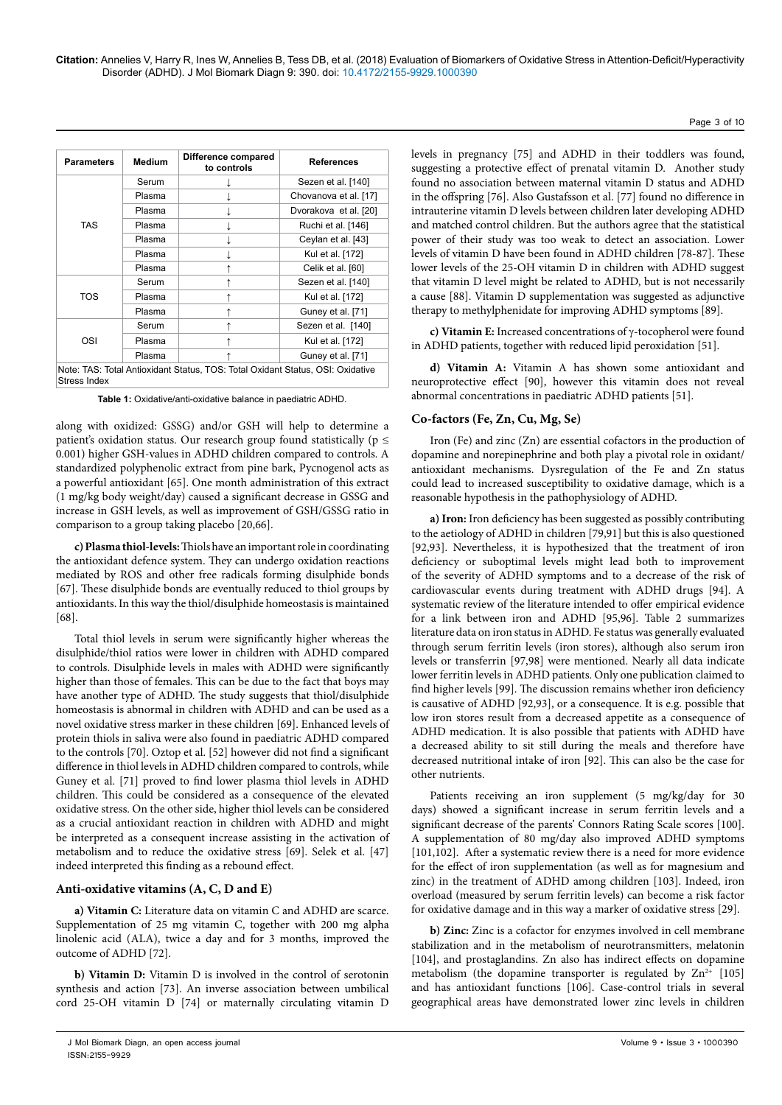| <b>Parameters</b> | <b>Medium</b> | Difference compared<br>to controls                                             | <b>References</b>     |
|-------------------|---------------|--------------------------------------------------------------------------------|-----------------------|
| <b>TAS</b>        | Serum         |                                                                                | Sezen et al. [140]    |
|                   | Plasma        |                                                                                | Chovanova et al. [17] |
|                   | Plasma        |                                                                                | Dvorakova et al. [20] |
|                   | Plasma        |                                                                                | Ruchi et al. [146]    |
|                   | Plasma        |                                                                                | Ceylan et al. [43]    |
|                   | Plasma        |                                                                                | Kul et al. [172]      |
|                   | Plasma        |                                                                                | Celik et al. [60]     |
| <b>TOS</b>        | Serum         | ↑                                                                              | Sezen et al. [140]    |
|                   | Plasma        | ↑                                                                              | Kul et al. [172]      |
|                   | Plasma        | ↑                                                                              | Guney et al. [71]     |
| OSI               | Serum         |                                                                                | Sezen et al. [140]    |
|                   | Plasma        |                                                                                | Kul et al. [172]      |
|                   | Plasma        | ↑                                                                              | Guney et al. [71]     |
| Stress Index      |               | Note: TAS: Total Antioxidant Status, TOS: Total Oxidant Status, OSI: Oxidative |                       |

**Table 1:** Oxidative/anti-oxidative balance in paediatric ADHD.

along with oxidized: GSSG) and/or GSH will help to determine a patient's oxidation status. Our research group found statistically ( $p \leq$ 0.001) higher GSH-values in ADHD children compared to controls. A standardized polyphenolic extract from pine bark, Pycnogenol acts as a powerful antioxidant [65]. One month administration of this extract (1 mg/kg body weight/day) caused a significant decrease in GSSG and increase in GSH levels, as well as improvement of GSH/GSSG ratio in comparison to a group taking placebo [20,66].

**c) Plasma thiol-levels:** Thiols have an important role in coordinating the antioxidant defence system. They can undergo oxidation reactions mediated by ROS and other free radicals forming disulphide bonds [67]. These disulphide bonds are eventually reduced to thiol groups by antioxidants. In this way the thiol/disulphide homeostasis is maintained [68].

Total thiol levels in serum were significantly higher whereas the disulphide/thiol ratios were lower in children with ADHD compared to controls. Disulphide levels in males with ADHD were significantly higher than those of females. This can be due to the fact that boys may have another type of ADHD. The study suggests that thiol/disulphide homeostasis is abnormal in children with ADHD and can be used as a novel oxidative stress marker in these children [69]. Enhanced levels of protein thiols in saliva were also found in paediatric ADHD compared to the controls [70]. Oztop et al. [52] however did not find a significant difference in thiol levels in ADHD children compared to controls, while Guney et al. [71] proved to find lower plasma thiol levels in ADHD children. This could be considered as a consequence of the elevated oxidative stress. On the other side, higher thiol levels can be considered as a crucial antioxidant reaction in children with ADHD and might be interpreted as a consequent increase assisting in the activation of metabolism and to reduce the oxidative stress [69]. Selek et al. [47] indeed interpreted this finding as a rebound effect.

## **Anti-oxidative vitamins (A, C, D and E)**

**a) Vitamin C:** Literature data on vitamin C and ADHD are scarce. Supplementation of 25 mg vitamin C, together with 200 mg alpha linolenic acid (ALA), twice a day and for 3 months, improved the outcome of ADHD [72].

**b) Vitamin D:** Vitamin D is involved in the control of serotonin synthesis and action [73]. An inverse association between umbilical cord 25-OH vitamin D [74] or maternally circulating vitamin D

levels in pregnancy [75] and ADHD in their toddlers was found, suggesting a protective effect of prenatal vitamin D. Another study found no association between maternal vitamin D status and ADHD in the offspring [76]. Also Gustafsson et al. [77] found no difference in intrauterine vitamin D levels between children later developing ADHD and matched control children. But the authors agree that the statistical power of their study was too weak to detect an association. Lower levels of vitamin D have been found in ADHD children [78-87]. These lower levels of the 25-OH vitamin D in children with ADHD suggest that vitamin D level might be related to ADHD, but is not necessarily a cause [88]. Vitamin D supplementation was suggested as adjunctive therapy to methylphenidate for improving ADHD symptoms [89].

**c) Vitamin E:** Increased concentrations of γ-tocopherol were found in ADHD patients, together with reduced lipid peroxidation [51].

**d) Vitamin A:** Vitamin A has shown some antioxidant and neuroprotective effect [90], however this vitamin does not reveal abnormal concentrations in paediatric ADHD patients [51].

## **Co-factors (Fe, Zn, Cu, Mg, Se)**

Iron (Fe) and zinc (Zn) are essential cofactors in the production of dopamine and norepinephrine and both play a pivotal role in oxidant/ antioxidant mechanisms. Dysregulation of the Fe and Zn status could lead to increased susceptibility to oxidative damage, which is a reasonable hypothesis in the pathophysiology of ADHD.

**a) Iron:** Iron deficiency has been suggested as possibly contributing to the aetiology of ADHD in children [79,91] but this is also questioned [92,93]. Nevertheless, it is hypothesized that the treatment of iron deficiency or suboptimal levels might lead both to improvement of the severity of ADHD symptoms and to a decrease of the risk of cardiovascular events during treatment with ADHD drugs [94]. A systematic review of the literature intended to offer empirical evidence for a link between iron and ADHD [95,96]. Table 2 summarizes literature data on iron status in ADHD. Fe status was generally evaluated through serum ferritin levels (iron stores), although also serum iron levels or transferrin [97,98] were mentioned. Nearly all data indicate lower ferritin levels in ADHD patients. Only one publication claimed to find higher levels [99]. The discussion remains whether iron deficiency is causative of ADHD [92,93], or a consequence. It is e.g. possible that low iron stores result from a decreased appetite as a consequence of ADHD medication. It is also possible that patients with ADHD have a decreased ability to sit still during the meals and therefore have decreased nutritional intake of iron [92]. This can also be the case for other nutrients.

Patients receiving an iron supplement (5 mg/kg/day for 30 days) showed a significant increase in serum ferritin levels and a significant decrease of the parents' Connors Rating Scale scores [100]. A supplementation of 80 mg/day also improved ADHD symptoms [101,102]. After a systematic review there is a need for more evidence for the effect of iron supplementation (as well as for magnesium and zinc) in the treatment of ADHD among children [103]. Indeed, iron overload (measured by serum ferritin levels) can become a risk factor for oxidative damage and in this way a marker of oxidative stress [29].

**b) Zinc:** Zinc is a cofactor for enzymes involved in cell membrane stabilization and in the metabolism of neurotransmitters, melatonin [104], and prostaglandins. Zn also has indirect effects on dopamine metabolism (the dopamine transporter is regulated by  $\text{Zn}^{2+}$  [105] and has antioxidant functions [106]. Case-control trials in several geographical areas have demonstrated lower zinc levels in children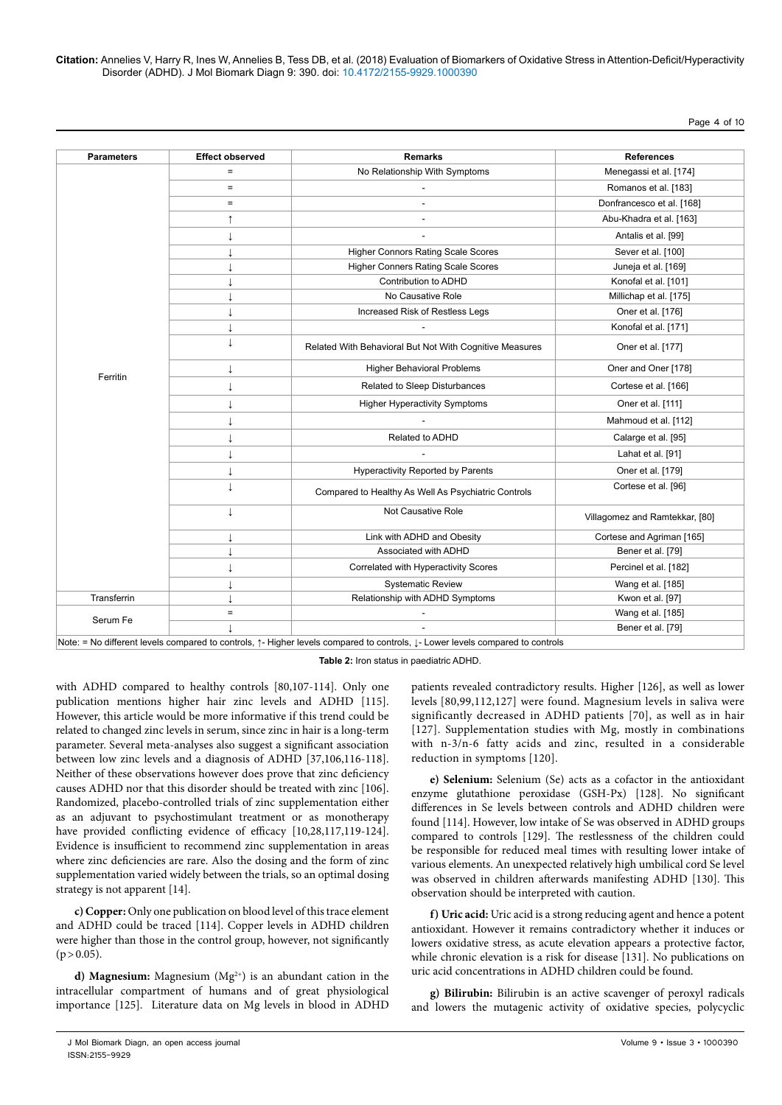**Citation:** Annelies V, Harry R, Ines W, Annelies B, Tess DB, et al. (2018) Evaluation of Biomarkers of Oxidative Stress in Attention-Deficit/Hyperactivity Disorder (ADHD). J Mol Biomark Diagn 9: 390. doi: 10.4172/2155-9929.1000390

Page 4 of 10

| <b>Parameters</b> | <b>Effect observed</b> | <b>Remarks</b>                                          | <b>References</b>              |
|-------------------|------------------------|---------------------------------------------------------|--------------------------------|
| Ferritin          | $\qquad \qquad =$      | No Relationship With Symptoms                           | Menegassi et al. [174]         |
|                   | $=$                    |                                                         | Romanos et al. [183]           |
|                   | $\qquad \qquad =$      |                                                         | Donfrancesco et al. [168]      |
|                   |                        |                                                         | Abu-Khadra et al. [163]        |
|                   |                        |                                                         | Antalis et al. [99]            |
|                   |                        | <b>Higher Connors Rating Scale Scores</b>               | Sever et al. [100]             |
|                   |                        | <b>Higher Conners Rating Scale Scores</b>               | Juneja et al. [169]            |
|                   |                        | Contribution to ADHD                                    | Konofal et al. [101]           |
|                   |                        | No Causative Role                                       | Millichap et al. [175]         |
|                   |                        | Increased Risk of Restless Legs                         | Oner et al. [176]              |
|                   |                        |                                                         | Konofal et al. [171]           |
|                   | J                      | Related With Behavioral But Not With Cognitive Measures | Oner et al. [177]              |
|                   |                        | <b>Higher Behavioral Problems</b>                       | Oner and Oner [178]            |
|                   |                        | Related to Sleep Disturbances                           | Cortese et al. [166]           |
|                   |                        | <b>Higher Hyperactivity Symptoms</b>                    | Oner et al. [111]              |
|                   |                        |                                                         | Mahmoud et al. [112]           |
|                   |                        | Related to ADHD                                         | Calarge et al. [95]            |
|                   |                        |                                                         | Lahat et al. [91]              |
|                   |                        | <b>Hyperactivity Reported by Parents</b>                | Oner et al. [179]              |
|                   |                        | Compared to Healthy As Well As Psychiatric Controls     | Cortese et al. [96]            |
|                   | J.                     | Not Causative Role                                      | Villagomez and Ramtekkar, [80] |
|                   |                        | Link with ADHD and Obesity                              | Cortese and Agriman [165]      |
|                   |                        | Associated with ADHD                                    | Bener et al. [79]              |
|                   |                        | Correlated with Hyperactivity Scores                    | Percinel et al. [182]          |
|                   |                        | <b>Systematic Review</b>                                | Wang et al. [185]              |
| Transferrin       |                        | Relationship with ADHD Symptoms                         | Kwon et al. [97]               |
| Serum Fe          | $\qquad \qquad =$      |                                                         | Wang et al. [185]              |
|                   |                        |                                                         | Bener et al. [79]              |

**Table 2:** Iron status in paediatric ADHD.

with ADHD compared to healthy controls [80,107-114]. Only one publication mentions higher hair zinc levels and ADHD [115]. However, this article would be more informative if this trend could be related to changed zinc levels in serum, since zinc in hair is a long-term parameter. Several meta-analyses also suggest a significant association between low zinc levels and a diagnosis of ADHD [37,106,116-118]. Neither of these observations however does prove that zinc deficiency causes ADHD nor that this disorder should be treated with zinc [106]. Randomized, placebo-controlled trials of zinc supplementation either as an adjuvant to psychostimulant treatment or as monotherapy have provided conflicting evidence of efficacy [10,28,117,119-124]. Evidence is insufficient to recommend zinc supplementation in areas where zinc deficiencies are rare. Also the dosing and the form of zinc supplementation varied widely between the trials, so an optimal dosing strategy is not apparent [14].

**c) Copper:** Only one publication on blood level of this trace element and ADHD could be traced [114]. Copper levels in ADHD children were higher than those in the control group, however, not significantly  $(p>0.05)$ .

**d) Magnesium:** Magnesium (Mg<sup>2+</sup>) is an abundant cation in the intracellular compartment of humans and of great physiological importance [125]. Literature data on Mg levels in blood in ADHD patients revealed contradictory results. Higher [126], as well as lower levels [80,99,112,127] were found. Magnesium levels in saliva were significantly decreased in ADHD patients [70], as well as in hair [127]. Supplementation studies with Mg, mostly in combinations with n-3/n-6 fatty acids and zinc, resulted in a considerable reduction in symptoms [120].

**e) Selenium:** Selenium (Se) acts as a cofactor in the antioxidant enzyme glutathione peroxidase (GSH-Px) [128]. No significant differences in Se levels between controls and ADHD children were found [114]. However, low intake of Se was observed in ADHD groups compared to controls [129]. The restlessness of the children could be responsible for reduced meal times with resulting lower intake of various elements. An unexpected relatively high umbilical cord Se level was observed in children afterwards manifesting ADHD [130]. This observation should be interpreted with caution.

**f) Uric acid:** Uric acid is a strong reducing agent and hence a potent antioxidant. However it remains contradictory whether it induces or lowers oxidative stress, as acute elevation appears a protective factor, while chronic elevation is a risk for disease [131]. No publications on uric acid concentrations in ADHD children could be found.

**g) Bilirubin:** Bilirubin is an active scavenger of peroxyl radicals and lowers the mutagenic activity of oxidative species, polycyclic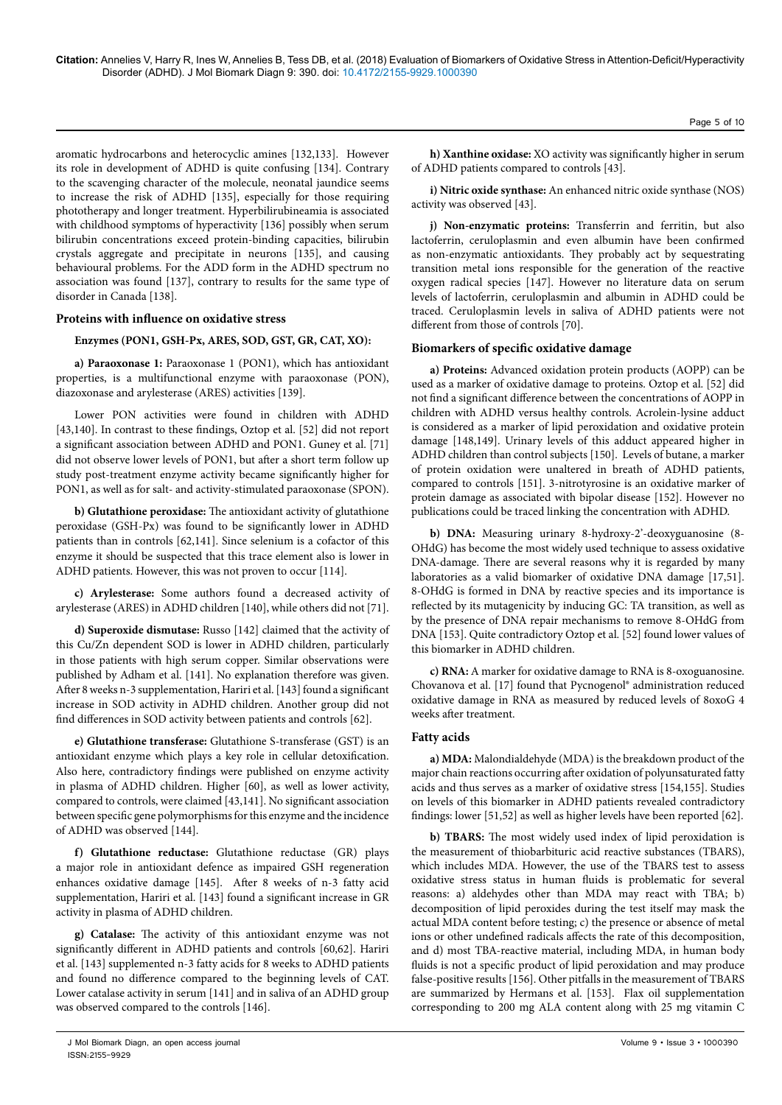aromatic hydrocarbons and heterocyclic amines [132,133]. However its role in development of ADHD is quite confusing [134]. Contrary to the scavenging character of the molecule, neonatal jaundice seems to increase the risk of ADHD [135], especially for those requiring phototherapy and longer treatment. Hyperbilirubineamia is associated with childhood symptoms of hyperactivity [136] possibly when serum bilirubin concentrations exceed protein-binding capacities, bilirubin crystals aggregate and precipitate in neurons [135], and causing behavioural problems. For the ADD form in the ADHD spectrum no association was found [137], contrary to results for the same type of disorder in Canada [138].

#### **Proteins with influence on oxidative stress**

# **Enzymes (PON1, GSH-Px, ARES, SOD, GST, GR, CAT, XO):**

**a) Paraoxonase 1:** Paraoxonase 1 (PON1), which has antioxidant properties, is a multifunctional enzyme with paraoxonase (PON), diazoxonase and arylesterase (ARES) activities [139].

Lower PON activities were found in children with ADHD [43,140]. In contrast to these findings, Oztop et al. [52] did not report a significant association between ADHD and PON1. Guney et al. [71] did not observe lower levels of PON1, but after a short term follow up study post-treatment enzyme activity became significantly higher for PON1, as well as for salt- and activity-stimulated paraoxonase (SPON).

**b) Glutathione peroxidase:** The antioxidant activity of glutathione peroxidase (GSH-Px) was found to be significantly lower in ADHD patients than in controls [62,141]. Since selenium is a cofactor of this enzyme it should be suspected that this trace element also is lower in ADHD patients. However, this was not proven to occur [114].

**c) Arylesterase:** Some authors found a decreased activity of arylesterase (ARES) in ADHD children [140], while others did not [71].

**d) Superoxide dismutase:** Russo [142] claimed that the activity of this Cu/Zn dependent SOD is lower in ADHD children, particularly in those patients with high serum copper. Similar observations were published by Adham et al. [141]. No explanation therefore was given. After 8 weeks n-3 supplementation, Hariri et al. [143] found a significant increase in SOD activity in ADHD children. Another group did not find differences in SOD activity between patients and controls [62].

**e) Glutathione transferase:** Glutathione S-transferase (GST) is an antioxidant enzyme which plays a key role in cellular detoxification. Also here, contradictory findings were published on enzyme activity in plasma of ADHD children. Higher [60], as well as lower activity, compared to controls, were claimed [43,141]. No significant association between specific gene polymorphisms for this enzyme and the incidence of ADHD was observed [144].

**f) Glutathione reductase:** Glutathione reductase (GR) plays a major role in antioxidant defence as impaired GSH regeneration enhances oxidative damage [145]. After 8 weeks of n-3 fatty acid supplementation, Hariri et al. [143] found a significant increase in GR activity in plasma of ADHD children.

**g) Catalase:** The activity of this antioxidant enzyme was not significantly different in ADHD patients and controls [60,62]. Hariri et al. [143] supplemented n-3 fatty acids for 8 weeks to ADHD patients and found no difference compared to the beginning levels of CAT. Lower catalase activity in serum [141] and in saliva of an ADHD group was observed compared to the controls [146].

**h) Xanthine oxidase:** XO activity was significantly higher in serum of ADHD patients compared to controls [43].

**i) Nitric oxide synthase:** An enhanced nitric oxide synthase (NOS) activity was observed [43].

**j) Non-enzymatic proteins:** Transferrin and ferritin, but also lactoferrin, ceruloplasmin and even albumin have been confirmed as non-enzymatic antioxidants. They probably act by sequestrating transition metal ions responsible for the generation of the reactive oxygen radical species [147]. However no literature data on serum levels of lactoferrin, ceruloplasmin and albumin in ADHD could be traced. Ceruloplasmin levels in saliva of ADHD patients were not different from those of controls [70].

#### **Biomarkers of specific oxidative damage**

**a) Proteins:** Advanced oxidation protein products (AOPP) can be used as a marker of oxidative damage to proteins. Oztop et al. [52] did not find a significant difference between the concentrations of AOPP in children with ADHD versus healthy controls. Acrolein-lysine adduct is considered as a marker of lipid peroxidation and oxidative protein damage [148,149]. Urinary levels of this adduct appeared higher in ADHD children than control subjects [150]. Levels of butane, a marker of protein oxidation were unaltered in breath of ADHD patients, compared to controls [151]. 3-nitrotyrosine is an oxidative marker of protein damage as associated with bipolar disease [152]. However no publications could be traced linking the concentration with ADHD.

**b) DNA:** Measuring urinary 8-hydroxy-2'-deoxyguanosine (8- OHdG) has become the most widely used technique to assess oxidative DNA-damage. There are several reasons why it is regarded by many laboratories as a valid biomarker of oxidative DNA damage [17,51]. 8-OHdG is formed in DNA by reactive species and its importance is reflected by its mutagenicity by inducing GC: TA transition, as well as by the presence of DNA repair mechanisms to remove 8-OHdG from DNA [153]. Quite contradictory Oztop et al. [52] found lower values of this biomarker in ADHD children.

**c) RNA:** A marker for oxidative damage to RNA is 8-oxoguanosine. Chovanova et al. [17] found that Pycnogenol® administration reduced oxidative damage in RNA as measured by reduced levels of 8oxoG 4 weeks after treatment.

# **Fatty acids**

**a) MDA:** Malondialdehyde (MDA) is the breakdown product of the major chain reactions occurring after oxidation of polyunsaturated fatty acids and thus serves as a marker of oxidative stress [154,155]. Studies on levels of this biomarker in ADHD patients revealed contradictory findings: lower [51,52] as well as higher levels have been reported [62].

**b) TBARS:** The most widely used index of lipid peroxidation is the measurement of thiobarbituric acid reactive substances (TBARS), which includes MDA. However, the use of the TBARS test to assess oxidative stress status in human fluids is problematic for several reasons: a) aldehydes other than MDA may react with TBA; b) decomposition of lipid peroxides during the test itself may mask the actual MDA content before testing; c) the presence or absence of metal ions or other undefined radicals affects the rate of this decomposition, and d) most TBA-reactive material, including MDA, in human body fluids is not a specific product of lipid peroxidation and may produce false-positive results [156]. Other pitfalls in the measurement of TBARS are summarized by Hermans et al. [153]. Flax oil supplementation corresponding to 200 mg ALA content along with 25 mg vitamin C

J Mol Biomark Diagn, an open access journal Volume 9 • Issue 3 • 1000390 ISSN:2155-9929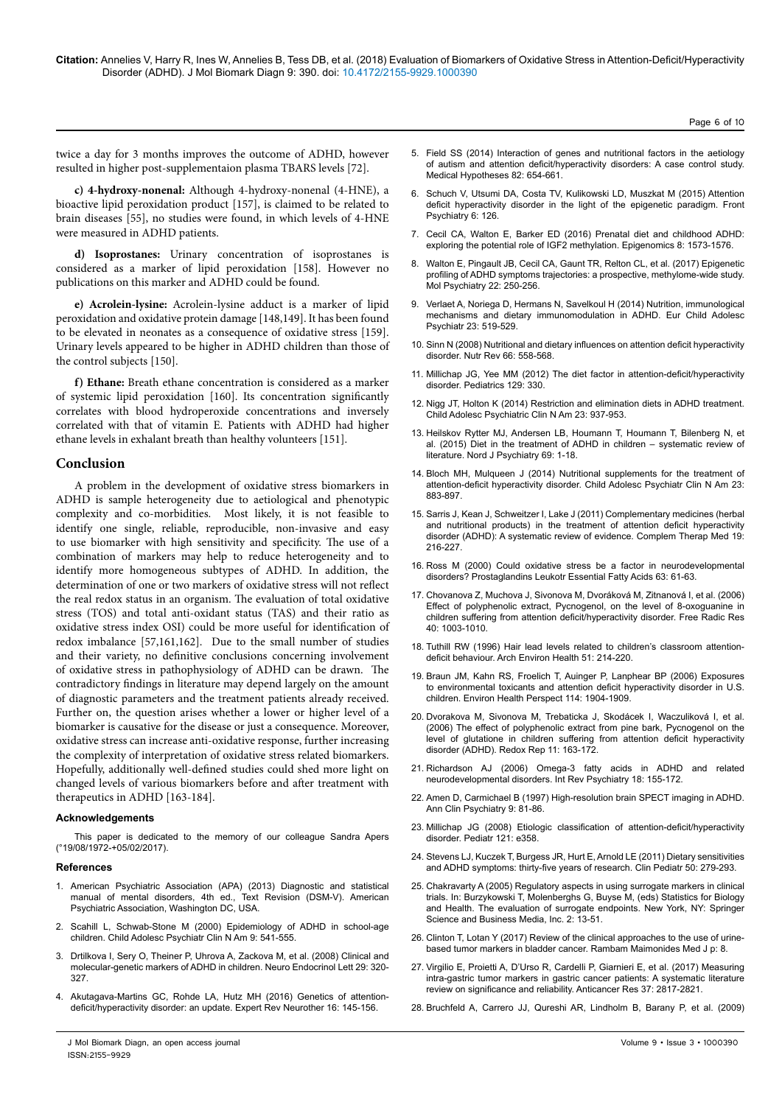twice a day for 3 months improves the outcome of ADHD, however resulted in higher post-supplementaion plasma TBARS levels [72].

**c) 4-hydroxy-nonenal:** Although 4-hydroxy-nonenal (4-HNE), a bioactive lipid peroxidation product [157], is claimed to be related to brain diseases [55], no studies were found, in which levels of 4-HNE were measured in ADHD patients.

**d) Isoprostanes:** Urinary concentration of isoprostanes is considered as a marker of lipid peroxidation [158]. However no publications on this marker and ADHD could be found.

**e) Acrolein-lysine:** Acrolein-lysine adduct is a marker of lipid peroxidation and oxidative protein damage [148,149]. It has been found to be elevated in neonates as a consequence of oxidative stress [159]. Urinary levels appeared to be higher in ADHD children than those of the control subjects [150].

**f) Ethane:** Breath ethane concentration is considered as a marker of systemic lipid peroxidation [160]. Its concentration significantly correlates with blood hydroperoxide concentrations and inversely correlated with that of vitamin E. Patients with ADHD had higher ethane levels in exhalant breath than healthy volunteers [151].

## **Conclusion**

A problem in the development of oxidative stress biomarkers in ADHD is sample heterogeneity due to aetiological and phenotypic complexity and co-morbidities. Most likely, it is not feasible to identify one single, reliable, reproducible, non-invasive and easy to use biomarker with high sensitivity and specificity. The use of a combination of markers may help to reduce heterogeneity and to identify more homogeneous subtypes of ADHD. In addition, the determination of one or two markers of oxidative stress will not reflect the real redox status in an organism. The evaluation of total oxidative stress (TOS) and total anti-oxidant status (TAS) and their ratio as oxidative stress index OSI) could be more useful for identification of redox imbalance [57,161,162]. Due to the small number of studies and their variety, no definitive conclusions concerning involvement of oxidative stress in pathophysiology of ADHD can be drawn. The contradictory findings in literature may depend largely on the amount of diagnostic parameters and the treatment patients already received. Further on, the question arises whether a lower or higher level of a biomarker is causative for the disease or just a consequence. Moreover, oxidative stress can increase anti-oxidative response, further increasing the complexity of interpretation of oxidative stress related biomarkers. Hopefully, additionally well-defined studies could shed more light on changed levels of various biomarkers before and after treatment with therapeutics in ADHD [163-184].

#### **Acknowledgements**

This paper is dedicated to the memory of our colleague Sandra Apers (°19/08/1972-+05/02/2017).

#### **References**

- 1. [American Psychiatric Association \(APA\) \(2013\) Diagnostic and statistical](https://dsm.psychiatryonline.org/doi/pdf/10.1176/appi.books.9780890420249.dsm-iv-tr) [manual of mental disorders, 4th ed., Text Revision \(DSM-V\). American](https://dsm.psychiatryonline.org/doi/pdf/10.1176/appi.books.9780890420249.dsm-iv-tr) [Psychiatric Association, Washington DC, USA.](https://dsm.psychiatryonline.org/doi/pdf/10.1176/appi.books.9780890420249.dsm-iv-tr)
- 2. [Scahill L, Schwab-Stone M \(2000\) Epidemiology of ADHD in school-age](https://www.researchgate.net/publication/299093477_Epidemiology_of_ADHD_in_school-age_children) [children. Child Adolesc Psychiatr Clin N Am 9: 541-555.](https://www.researchgate.net/publication/299093477_Epidemiology_of_ADHD_in_school-age_children)
- 3. [Drtilkova I, Sery O, Theiner P, Uhrova A, Zackova M, et al. \(2008\) Clinical and](https://www.semanticscholar.org/paper/Clinical-and-molecular-genetic-markers-of-ADHD-in-Drt%C3%ADlkov%C3%A1-%C5%A0er%C3%BD/0dd53796688561d6084fa883aaafbb38f9bd8794) [molecular-genetic markers of ADHD in children. Neuro Endocrinol Lett 29: 320-](https://www.semanticscholar.org/paper/Clinical-and-molecular-genetic-markers-of-ADHD-in-Drt%C3%ADlkov%C3%A1-%C5%A0er%C3%BD/0dd53796688561d6084fa883aaafbb38f9bd8794) [327.](https://www.semanticscholar.org/paper/Clinical-and-molecular-genetic-markers-of-ADHD-in-Drt%C3%ADlkov%C3%A1-%C5%A0er%C3%BD/0dd53796688561d6084fa883aaafbb38f9bd8794)
- 4. [Akutagava-Martins GC, Rohde LA, Hutz MH \(2016\) Genetics of attention](https://doi.org/10.1586/14737175.2016.1130626)[deficit/hyperactivity disorder: an update. Expert Rev Neurother 16: 145-156.](https://doi.org/10.1586/14737175.2016.1130626)

5. [Field SS \(2014\) Interaction of genes and nutritional factors in the aetiology](https://doi.org/10.1016/j.mehy.2014.02.021)  [of autism and attention deficit/hyperactivity disorders: A case control study.](https://doi.org/10.1016/j.mehy.2014.02.021)  [Medical Hypotheses 82: 654-661.](https://doi.org/10.1016/j.mehy.2014.02.021)

Page 6 of 10

- 6. [Schuch V, Utsumi DA, Costa TV, Kulikowski LD, Muszkat M \(2015\) Attention](https://doi.org/10.3389/fpsyt.2015.00126)  [deficit hyperactivity disorder in the light of the epigenetic paradigm. Front](https://doi.org/10.3389/fpsyt.2015.00126)  [Psychiatry 6: 126.](https://doi.org/10.3389/fpsyt.2015.00126)
- 7. [Cecil CA, Walton E, Barker ED \(2016\) Prenatal diet and childhood ADHD:](https://doi.org/10.2217/epi-2016-0131)  [exploring the potential role of IGF2 methylation. Epigenomics 8: 1573-1576.](https://doi.org/10.2217/epi-2016-0131)
- 8. [Walton E, Pingault JB, Cecil CA, Gaunt TR, Relton CL, et al. \(2017\) Epigenetic](https://doi.org/10.1038/mp.2016.85)  [profiling of ADHD symptoms trajectories: a prospective, methylome-wide study.](https://doi.org/10.1038/mp.2016.85)  [Mol Psychiatry 22: 250-256.](https://doi.org/10.1038/mp.2016.85)
- 9. [Verlaet A, Noriega D, Hermans N, Savelkoul H \(2014\) Nutrition, immunological](https://doi.org/10.1007/s00787-014-0522-2)  [mechanisms and dietary immunomodulation in ADHD. Eur Child Adolesc](https://doi.org/10.1007/s00787-014-0522-2)  [Psychiatr 23: 519-529.](https://doi.org/10.1007/s00787-014-0522-2)
- 10. [Sinn N \(2008\) Nutritional and dietary influences on attention deficit hyperactivity](https://doi.org/10.1111/j.1753-4887.2008.00107.x)  [disorder. Nutr Rev 66: 558-568.](https://doi.org/10.1111/j.1753-4887.2008.00107.x)
- 11. [Millichap JG, Yee MM \(2012\) The diet factor in attention-deficit/hyperactivity](https://dx.doi.org/10.1542/peds.2011-2199)  [disorder. Pediatrics 129: 330.](https://dx.doi.org/10.1542/peds.2011-2199)
- 12. [Nigg JT, Holton K \(2014\) Restriction and elimination diets in ADHD treatment.](https://doi.org/10.1016/j.chc.2014.05.010)  [Child Adolesc Psychiatric Clin N Am 23: 937-953.](https://doi.org/10.1016/j.chc.2014.05.010)
- 13. [Heilskov Rytter MJ, Andersen LB, Houmann T, Houmann T, Bilenberg N, et](https://doi.org/10.3109/08039488.2014.921933)  [al. \(2015\) Diet in the treatment of ADHD in children – systematic review of](https://doi.org/10.3109/08039488.2014.921933)  [literature. Nord J Psychiatry 69: 1-18.](https://doi.org/10.3109/08039488.2014.921933)
- 14. [Bloch MH, Mulqueen J \(2014\) Nutritional supplements for the treatment of](https://doi.org/10.1016/j.chc.2014.05.002)  [attention-deficit hyperactivity disorder. Child Adolesc Psychiatr Clin N Am 23:](https://doi.org/10.1016/j.chc.2014.05.002)  [883-897.](https://doi.org/10.1016/j.chc.2014.05.002)
- 15. [Sarris J, Kean J, Schweitzer I, Lake J \(2011\) Complementary medicines \(herbal](https://doi.org/10.1016/j.ctim.2011.06.007)  [and nutritional products\) in the treatment of attention deficit hyperactivity](https://doi.org/10.1016/j.ctim.2011.06.007)  [disorder \(ADHD\): A systematic review of evidence. Complem Therap Med 19:](https://doi.org/10.1016/j.ctim.2011.06.007)  [216-227.](https://doi.org/10.1016/j.ctim.2011.06.007)
- 16. [Ross M \(2000\) Could oxidative stress be a factor in neurodevelopmental](https://doi.org/10.1054/plef.2000.0192)  [disorders? Prostaglandins Leukotr Essential Fatty Acids 63: 61-63.](https://doi.org/10.1054/plef.2000.0192)
- 17. [Chovanova Z, Muchova J, Sivonova M, Dvoráková M, Zitnanová I, et al. \(2006\)](https://doi.org/10.1080/10715760600824902)  [Effect of polyphenolic extract, Pycnogenol, on the level of 8-oxoguanine in](https://doi.org/10.1080/10715760600824902)  [children suffering from attention deficit/hyperactivity disorder. Free Radic Res](https://doi.org/10.1080/10715760600824902)  [40: 1003-1010.](https://doi.org/10.1080/10715760600824902)
- 18. [Tuthill RW \(1996\) Hair lead levels related to children's classroom attention](https://doi.org/10.1080/00039896.1996.9936018)[deficit behaviour. Arch Environ Health 51: 214-220.](https://doi.org/10.1080/00039896.1996.9936018)
- 19. [Braun JM, Kahn RS, Froelich T, Auinger P, Lanphear BP \(2006\) Exposures](https://dx.doi.org/10.1289%2Fehp.9478)  [to environmental toxicants and attention deficit hyperactivity disorder in U.S.](https://dx.doi.org/10.1289%2Fehp.9478)  [children. Environ Health Perspect 114: 1904-1909.](https://dx.doi.org/10.1289%2Fehp.9478)
- 20. [Dvorakova M, Sivonova M, Trebaticka J, Skodácek I, Waczuliková I, et al.](https://doi.org/10.1179/135100006X116664)  [\(2006\) The effect of polyphenolic extract from pine bark, Pycnogenol on the](https://doi.org/10.1179/135100006X116664)  [level of glutatione in children suffering from attention deficit hyperactivity](https://doi.org/10.1179/135100006X116664)  [disorder \(ADHD\). Redox Rep 11: 163-172.](https://doi.org/10.1179/135100006X116664)
- 21. [Richardson AJ \(2006\) Omega-3 fatty acids in ADHD and related](https://doi.org/10.1080/09540260600583031)  [neurodevelopmental disorders. Int Rev Psychiatry 18: 155-172.](https://doi.org/10.1080/09540260600583031)
- 22. [Amen D, Carmichael B \(1997\) High-resolution brain SPECT imaging in ADHD.](D:\Others\Adithya\JMBD\JMBDVolume.9.3\JMBDVolume.9.3_W\PHARMA-18-150M\doi.org\10.1023\A:1026201218296)  [Ann Clin Psychiatry 9: 81-86.](D:\Others\Adithya\JMBD\JMBDVolume.9.3\JMBDVolume.9.3_W\PHARMA-18-150M\doi.org\10.1023\A:1026201218296)
- 23. [Millichap JG \(2008\) Etiologic classification of attention-deficit/hyperactivity](https://dx.doi.org/10.1542/peds.2007-1332)  [disorder. Pediatr 121: e358.](https://dx.doi.org/10.1542/peds.2007-1332)
- 24. [Stevens LJ, Kuczek T, Burgess JR, Hurt E, Arnold LE \(2011\) Dietary sensitivities](https://doi.org/10.1177/0009922810384728)  [and ADHD symptoms: thirty-five years of research. Clin Pediatr 50: 279-293.](https://doi.org/10.1177/0009922810384728)
- 25. [Chakravarty A \(2005\) Regulatory aspects in using surrogate markers in clinical](https://www.springer.com/in/book/9780387202778)  [trials. In: Burzykowski T, Molenberghs G, Buyse M, \(eds\) Statistics for Biology](https://www.springer.com/in/book/9780387202778)  [and Health. The evaluation of surrogate endpoints. New York, NY: Springer](https://www.springer.com/in/book/9780387202778)  [Science and Business Media, Inc. 2: 13-51.](https://www.springer.com/in/book/9780387202778)
- 26. [Clinton T, Lotan Y \(2017\) Review of the clinical approaches to the use of urine](https://doi.org/10.5041/RMMJ.10314)[based tumor markers in bladder cancer. Rambam Maimonides Med J p: 8.](https://doi.org/10.5041/RMMJ.10314)
- 27. [Virgilio E, Proietti A, D'Urso R, Cardelli P, Giarnieri E, et al. \(2017\) Measuring](http://ar.iiarjournals.org/content/37/6/2817.abstract)  [intra-gastric tumor markers in gastric cancer patients: A systematic literature](http://ar.iiarjournals.org/content/37/6/2817.abstract)  [review on significance and reliability. Anticancer Res 37: 2817-2821.](http://ar.iiarjournals.org/content/37/6/2817.abstract)
- 28. [Bruchfeld A, Carrero JJ, Qureshi AR, Lindholm B, Barany P, et al. \(2009\)](https://doi.org/10.2119/molmed.2008.00109)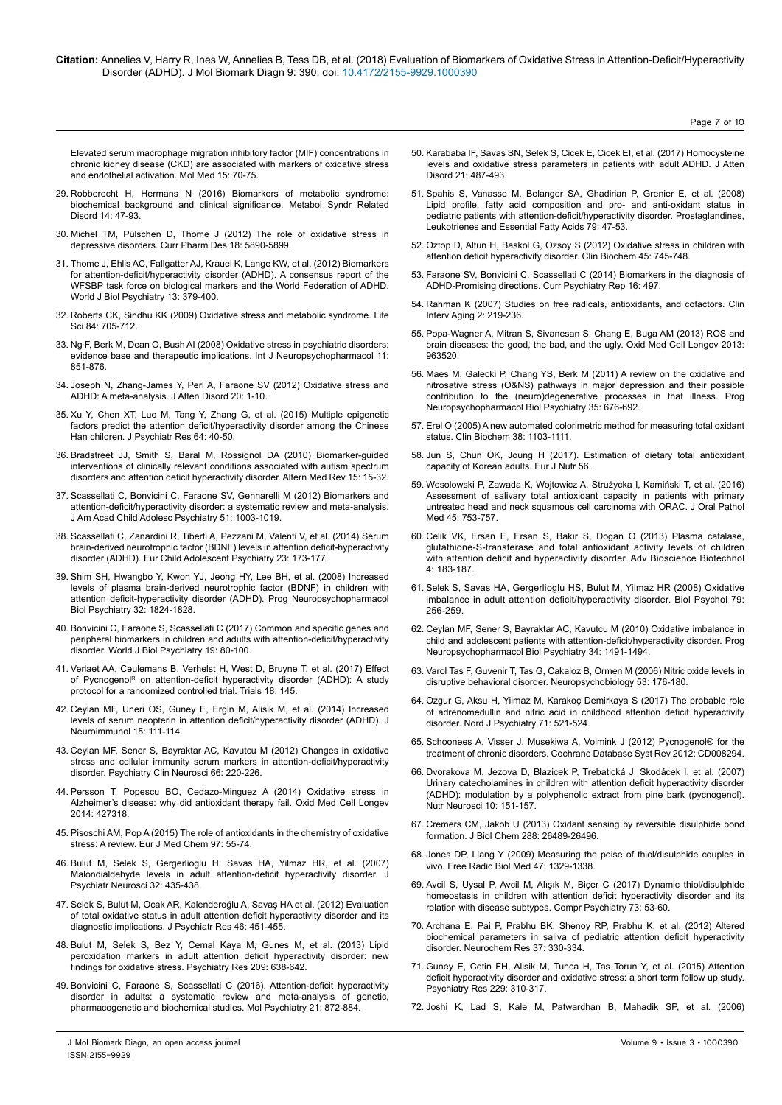[Elevated serum macrophage migration inhibitory factor \(MIF\) concentrations in](https://doi.org/10.2119/molmed.2008.00109) [chronic kidney disease \(CKD\) are associated with markers of oxidative stress](https://doi.org/10.2119/molmed.2008.00109) [and endothelial activation. Mol Med 15: 70-75.](https://doi.org/10.2119/molmed.2008.00109)

- 29. [Robberecht H, Hermans N \(2016\) Biomarkers of metabolic syndrome:](https://doi.org/10.1089/met.2015.0113) [biochemical background and clinical significance. Metabol Syndr Related](https://doi.org/10.1089/met.2015.0113) [Disord 14: 47-93.](https://doi.org/10.1089/met.2015.0113)
- 30. [Michel TM, Pülschen D, Thome J \(2012\) The role of oxidative stress in](https://doi.org/10.2174/138161212803523554) [depressive disorders. Curr Pharm Des 18: 5890-5899.](https://doi.org/10.2174/138161212803523554)
- 31. [Thome J, Ehlis AC, Fallgatter AJ, Krauel K, Lange KW, et al. \(2012\) Biomarkers](https://doi.org/10.3109/15622975.2012.690535) [for attention-deficit/hyperactivity disorder \(ADHD\). A consensus report of the](https://doi.org/10.3109/15622975.2012.690535) [WFSBP task force on biological markers and the World Federation of ADHD.](https://doi.org/10.3109/15622975.2012.690535) [World J Biol Psychiatry 13: 379-400.](https://doi.org/10.3109/15622975.2012.690535)
- 32. [Roberts CK, Sindhu KK \(2009\) Oxidative stress and metabolic syndrome. Life](https://doi.org/10.1016/j.lfs.2009.02.026) [Sci 84: 705-712.](https://doi.org/10.1016/j.lfs.2009.02.026)
- 33. [Ng F, Berk M, Dean O, Bush AI \(2008\) Oxidative stress in psychiatric disorders:](https://doi.org/10.1017/S1461145707008401) [evidence base and therapeutic implications. Int J Neuropsychopharmacol 11:](https://doi.org/10.1017/S1461145707008401) [851-876.](https://doi.org/10.1017/S1461145707008401)
- 34. [Joseph N, Zhang-James Y, Perl A, Faraone SV \(2012\) Oxidative stress and](https://doi.org/10.1177/1087054713510354) [ADHD: A meta-analysis. J Atten Disord 20: 1-10.](https://doi.org/10.1177/1087054713510354)
- 35. [Xu Y, Chen XT, Luo M, Tang Y, Zhang G, et al. \(2015\) Multiple epigenetic](https://doi.org/10.1016/j.jpsychires.2015.03.006) [factors predict the attention deficit/hyperactivity disorder among the Chinese](https://doi.org/10.1016/j.jpsychires.2015.03.006) [Han children. J Psychiatr Res 64: 40-50.](https://doi.org/10.1016/j.jpsychires.2015.03.006)
- 36. [Bradstreet JJ, Smith S, Baral M, Rossignol DA \(2010\) Biomarker-guided](http://archive.foundationalmedicinereview.com/publications/15/1/15.pdf) [interventions of clinically relevant conditions associated with autism spectrum](http://archive.foundationalmedicinereview.com/publications/15/1/15.pdf) [disorders and attention deficit hyperactivity disorder. Altern Med Rev 15: 15-32.](http://archive.foundationalmedicinereview.com/publications/15/1/15.pdf)
- 37. [Scassellati C, Bonvicini C, Faraone SV, Gennarelli M \(2012\) Biomarkers and](https://doi.org/10.1016/j.jaac.2012.08.015) [attention-deficit/hyperactivity disorder: a systematic review and meta-analysis.](https://doi.org/10.1016/j.jaac.2012.08.015) [J Am Acad Child Adolesc Psychiatry 51: 1003-1019.](https://doi.org/10.1016/j.jaac.2012.08.015)
- 38. [Scassellati C, Zanardini R, Tiberti A, Pezzani M, Valenti V, et al. \(2014\) Serum](https://doi.org/10.1007/s00787-013-0447-1) [brain-derived neurotrophic factor \(BDNF\) levels in attention deficit-hyperactivity](https://doi.org/10.1007/s00787-013-0447-1) [disorder \(ADHD\). Eur Child Adolescent Psychiatry 23: 173-177.](https://doi.org/10.1007/s00787-013-0447-1)
- 39. [Shim SH, Hwangbo Y, Kwon YJ, Jeong HY, Lee BH, et al. \(2008\) Increased](https://doi.org/10.1016/j.pnpbp.2008.08.005) [levels of plasma brain-derived neurotrophic factor \(BDNF\) in children with](https://doi.org/10.1016/j.pnpbp.2008.08.005) [attention deficit-hyperactivity disorder \(ADHD\). Prog Neuropsychopharmacol](https://doi.org/10.1016/j.pnpbp.2008.08.005) [Biol Psychiatry 32: 1824-1828.](https://doi.org/10.1016/j.pnpbp.2008.08.005)
- 40. [Bonvicini C, Faraone S, Scassellati C \(2017\) Common and specific genes and](https://doi.org/10.1080/15622975.2017.1282175) [peripheral biomarkers in children and adults with attention-deficit/hyperactivity](https://doi.org/10.1080/15622975.2017.1282175) [disorder. World J Biol Psychiatry 19: 80-100.](https://doi.org/10.1080/15622975.2017.1282175)
- 41. [Verlaet AA, Ceulemans B, Verhelst H, West D, Bruyne T, et al. \(2017\) Effect](https://dx.doi.org/10.1186/s13063-017-1879-6) of Pycnogenol<sup>R</sup> [on attention-deficit hyperactivity disorder \(ADHD\): A study](https://dx.doi.org/10.1186/s13063-017-1879-6) [protocol for a randomized controlled trial. Trials 18: 145.](https://dx.doi.org/10.1186/s13063-017-1879-6)
- 42. [Ceylan MF, Uneri OS, Guney E, Ergin M, Alisik M, et al. \(2014\) Increased](https://doi.org/10.1016/j.jneuroim.2014.06.002) [levels of serum neopterin in attention deficit/hyperactivity disorder \(ADHD\). J](https://doi.org/10.1016/j.jneuroim.2014.06.002) [Neuroimmunol 15: 111-114.](https://doi.org/10.1016/j.jneuroim.2014.06.002)
- 43. [Ceylan MF, Sener S, Bayraktar AC, Kavutcu M \(2012\) Changes in oxidative](https://doi.org/10.1111/j.1440-1819.2012.02330.x) [stress and cellular immunity serum markers in attention-deficit/hyperactivity](https://doi.org/10.1111/j.1440-1819.2012.02330.x) [disorder. Psychiatry Clin Neurosci 66: 220-226.](https://doi.org/10.1111/j.1440-1819.2012.02330.x)
- 44. [Persson T, Popescu BO, Cedazo-Minguez A \(2014\) Oxidative stress in](Htpp://dx. Doi.org/10.1158/2014/427318) [Alzheimer's disease: why did antioxidant therapy fail. Oxid Med Cell Longev](Htpp://dx. Doi.org/10.1158/2014/427318) [2014: 427318.](Htpp://dx. Doi.org/10.1158/2014/427318)
- 45. [Pisoschi AM, Pop A \(2015\) The role of antioxidants in the chemistry of oxidative](https://doi.org/10.1016/j.ejmech.2015.04.040) [stress: A review. Eur J Med Chem 97: 55-74.](https://doi.org/10.1016/j.ejmech.2015.04.040)
- 46. [Bulut M, Selek S, Gergerlioglu H, Savas HA, Yilmaz HR, et al. \(2007\)](http://jpn.ca/vol32-issue6/32-6-435/) [Malondialdehyde levels in adult attention-deficit hyperactivity disorder. J](http://jpn.ca/vol32-issue6/32-6-435/) [Psychiatr Neurosci 32: 435-438.](http://jpn.ca/vol32-issue6/32-6-435/)
- 47. [Selek S, Bulut M, Ocak AR, Kalenderoğlu A, Savaş HA et al. \(2012\) Evaluation](https://doi.org/10.1016/j.jpsychires.2011.12.007) [of total oxidative status in adult attention deficit hyperactivity disorder and its](https://doi.org/10.1016/j.jpsychires.2011.12.007) [diagnostic implications. J Psychiatr Res 46: 451-455.](https://doi.org/10.1016/j.jpsychires.2011.12.007)
- 48. [Bulut M, Selek S, Bez Y, Cemal Kaya M, Gunes M, et al. \(2013\) Lipid](https://doi.org/10.1016/j.psychres.2013.02.025) [peroxidation markers in adult attention deficit hyperactivity disorder: new](https://doi.org/10.1016/j.psychres.2013.02.025) [findings for oxidative stress. Psychiatry Res 209: 638-642.](https://doi.org/10.1016/j.psychres.2013.02.025)
- 49. [Bonvicini C, Faraone S, Scassellati C \(2016\). Attention-deficit hyperactivity](https://doi.org/10.1038/mp.2016.74) [disorder in adults: a systematic review and meta-analysis of genetic,](https://doi.org/10.1038/mp.2016.74) [pharmacogenetic and biochemical studies. Mol Psychiatry 21: 872-884.](https://doi.org/10.1038/mp.2016.74)

50. [Karababa IF, Savas SN, Selek S, Cicek E, Cicek EI, et al. \(2017\) Homocysteine](https://doi.org/10.1177/1087054714538657)  [levels and oxidative stress parameters in patients with adult ADHD. J Atten](https://doi.org/10.1177/1087054714538657)  [Disord 21: 487-493.](https://doi.org/10.1177/1087054714538657)

Page 7 of 10

- 51. [Spahis S, Vanasse M, Belanger SA, Ghadirian P, Grenier E, et al. \(2008\)](https://doi.org/10.1016/j.plefa.2008.07.005)  [Lipid profile, fatty acid composition and pro- and anti-oxidant status in](https://doi.org/10.1016/j.plefa.2008.07.005)  [pediatric patients with attention-deficit/hyperactivity disorder. Prostaglandines,](https://doi.org/10.1016/j.plefa.2008.07.005)  [Leukotrienes and Essential Fatty Acids 79: 47-53.](https://doi.org/10.1016/j.plefa.2008.07.005)
- 52. [Oztop D, Altun H, Baskol G, Ozsoy S \(2012\) Oxidative stress in children with](https://doi.org/10.1016/j.clinbiochem.2012.03.027)  [attention deficit hyperactivity disorder. Clin Biochem 45: 745-748.](https://doi.org/10.1016/j.clinbiochem.2012.03.027)
- 53. [Faraone SV, Bonvicini C, Scassellati C \(2014\) Biomarkers in the diagnosis of](https://doi.org/10.1007/s11920-014-0497-1)  [ADHD-Promising directions. Curr Psychiatry Rep 16: 497.](https://doi.org/10.1007/s11920-014-0497-1)
- 54. [Rahman K \(2007\) Studies on free radicals, antioxidants, and cofactors. Clin](https://www.dovepress.com/articles.php?article_id=167)  [Interv Aging 2: 219-236.](https://www.dovepress.com/articles.php?article_id=167)
- 55. [Popa-Wagner A, Mitran S, Sivanesan S, Chang E, Buga AM \(2013\) ROS and](https://doi.org/10.1155/2013/963520)  [brain diseases: the good, the bad, and the ugly. Oxid Med Cell Longev 2013:](https://doi.org/10.1155/2013/963520)  [963520.](https://doi.org/10.1155/2013/963520)
- 56. [Maes M, Galecki P, Chang YS, Berk M \(2011\) A review on the oxidative and](https://doi.org/10.1016/j.pnpbp.2010.05.004)  [nitrosative stress \(O&NS\) pathways in major depression and their possible](https://doi.org/10.1016/j.pnpbp.2010.05.004)  [contribution to the \(neuro\)degenerative processes in that illness. Prog](https://doi.org/10.1016/j.pnpbp.2010.05.004)  [Neuropsychopharmacol Biol Psychiatry 35: 676-692.](https://doi.org/10.1016/j.pnpbp.2010.05.004)
- 57. [Erel O \(2005\) A new automated colorimetric method for measuring total oxidant](https://doi.org/10.1016/j.clinbiochem.2005.08.008)  [status. Clin Biochem 38: 1103-1111.](https://doi.org/10.1016/j.clinbiochem.2005.08.008)
- 58. [Jun S, Chun OK, Joung H \(2017\). Estimation of dietary total antioxidant](https://doi.org/10.1007/s00394-017-1447-6)  [capacity of Korean adults. Eur J Nutr 56.](https://doi.org/10.1007/s00394-017-1447-6)
- 59. [Wesolowski P, Zawada K, Wojtowicz A, Strużycka I, Kamiński T, et al. \(2016\)](https://doi.org/10.1111/jop.12433)  [Assessment of salivary total antioxidant capacity in patients with primary](https://doi.org/10.1111/jop.12433)  [untreated head and neck squamous cell carcinoma with ORAC. J Oral Pathol](https://doi.org/10.1111/jop.12433)  [Med 45: 753-757.](https://doi.org/10.1111/jop.12433)
- 60. [Celik VK, Ersan E, Ersan S, Bakır S, Dogan O](http://dx.doi.org/10.4236/abb.2013.42026) (2013) Plasma catalase, [glutathione-S-transferase and total antioxidant activity levels of children](http://dx.doi.org/10.4236/abb.2013.42026)  [with attention deficit and hyperactivity disorder. Adv Bioscience Biotechnol](http://dx.doi.org/10.4236/abb.2013.42026)  [4: 183-187.](http://dx.doi.org/10.4236/abb.2013.42026)
- 61. [Selek S, Savas HA, Gergerlioglu HS, Bulut M, Yilmaz HR \(2008\) Oxidative](https://doi.org/10.1016/j.biopsycho.2008.06.005)  [imbalance in adult attention deficit/hyperactivity disorder. Biol Psychol 79:](https://doi.org/10.1016/j.biopsycho.2008.06.005)  [256-259.](https://doi.org/10.1016/j.biopsycho.2008.06.005)
- 62. [Ceylan MF, Sener S, Bayraktar AC, Kavutcu M \(2010\) Oxidative imbalance in](https://doi.org/10.1016/j.pnpbp.2010.08.010)  [child and adolescent patients with attention-deficit/hyperactivity disorder. Prog](https://doi.org/10.1016/j.pnpbp.2010.08.010)  [Neuropsychopharmacol Biol Psychiatry 34: 1491-1494.](https://doi.org/10.1016/j.pnpbp.2010.08.010)
- 63. [Varol Tas F, Guvenir T, Tas G, Cakaloz B, Ormen M \(2006\) Nitric oxide levels in](https://doi.org/10.1159/000093781)  [disruptive behavioral disorder. Neuropsychobiology 53: 176-180.](https://doi.org/10.1159/000093781)
- 64. [Ozgur G, Aksu H, Yilmaz M, Karakoç Demirkaya S \(2017\) The probable role](https://doi.org/10.1080/08039488.2017.1343382)  [of adrenomedullin and nitric acid in childhood attention deficit hyperactivity](https://doi.org/10.1080/08039488.2017.1343382)  [disorder. Nord J Psychiatry 71: 521-524.](https://doi.org/10.1080/08039488.2017.1343382)
- 65. [Schoonees A, Visser J, Musekiwa A, Volmink J \(2012\) Pycnogenol® for the](https://doi.org/10.1002/14651858.CD008294.pub3)  [treatment of chronic disorders. Cochrane Database Syst Rev 2012: CD008294.](https://doi.org/10.1002/14651858.CD008294.pub3)
- 66. [Dvorakova M, Jezova D, Blazicek P, Trebatická J, Skodácek I, et al. \(2007\)](https://doi.org/10.1080/09513590701565443)  [Urinary catecholamines in children with attention deficit hyperactivity disorder](https://doi.org/10.1080/09513590701565443)  [\(ADHD\): modulation by a polyphenolic extract from pine bark \(pycnogenol\).](https://doi.org/10.1080/09513590701565443)  [Nutr Neurosci 10: 151-157.](https://doi.org/10.1080/09513590701565443)
- 67. [Cremers CM, Jakob U \(2013\) Oxidant sensing by reversible disulphide bond](https://doi.org/10.1074/jbc.R113.462929)  [formation. J Biol Chem 288: 26489-26496.](https://doi.org/10.1074/jbc.R113.462929)
- 68. [Jones DP, Liang Y \(2009\) Measuring the poise of thiol/disulphide couples in](https://doi.org/10.1016/j.freeradbiomed.2009.08.021)  [vivo. Free Radic Biol Med 47: 1329-1338.](https://doi.org/10.1016/j.freeradbiomed.2009.08.021)
- 69. [Avcil S, Uysal P, Avcil M, Alışık M, Biçer C \(2017\) Dynamic thiol/disulphide](https://doi.org/10.1016/j.comppsych.2016.11.003)  [homeostasis in children with attention deficit hyperactivity disorder and its](https://doi.org/10.1016/j.comppsych.2016.11.003)  [relation with disease subtypes. Compr Psychiatry 73: 53-60.](https://doi.org/10.1016/j.comppsych.2016.11.003)
- 70. [Archana E, Pai P, Prabhu BK, Shenoy RP, Prabhu K, et al. \(2012\) Altered](https://doi.org/10.1007/s11064-011-0616-x)  [biochemical parameters in saliva of pediatric attention deficit hyperactivity](https://doi.org/10.1007/s11064-011-0616-x)  [disorder. Neurochem Res 37: 330-334.](https://doi.org/10.1007/s11064-011-0616-x)
- 71. [Guney E, Cetin FH, Alisik M, Tunca H, Tas Torun Y, et al. \(2015\) Attention](https://doi.org/10.1016/j.psychres.2015.07.003)  [deficit hyperactivity disorder and oxidative stress: a short term follow up study.](https://doi.org/10.1016/j.psychres.2015.07.003)  [Psychiatry Res 229: 310-317.](https://doi.org/10.1016/j.psychres.2015.07.003)
- 72. [Joshi K, Lad S, Kale M, Patwardhan B, Mahadik SP, et al. \(2006\)](https://doi.org/10.1016/j.plefa.2005.10.001)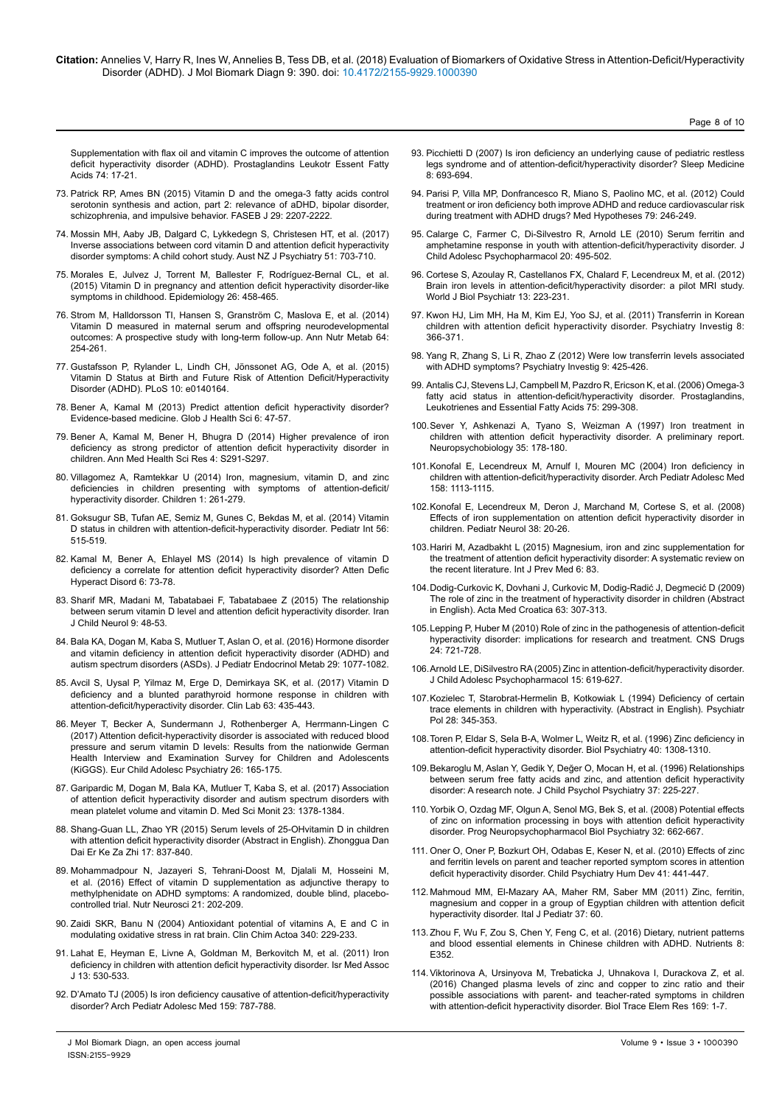**Citation:** Annelies V, Harry R, Ines W, Annelies B, Tess DB, et al. (2018) Evaluation of Biomarkers of Oxidative Stress in Attention-Deficit/Hyperactivity Disorder (ADHD). J Mol Biomark Diagn 9: 390. doi: 10.4172/2155-9929.1000390

[Supplementation with flax oil and vitamin C improves the outcome of attention](https://doi.org/10.1016/j.plefa.2005.10.001) [deficit hyperactivity disorder \(ADHD\). Prostaglandins Leukotr Essent Fatty](https://doi.org/10.1016/j.plefa.2005.10.001) [Acids 74: 17-21.](https://doi.org/10.1016/j.plefa.2005.10.001)

- 73. [Patrick RP, Ames BN \(2015\) Vitamin D and the omega-3 fatty acids control](https://doi.org/10.1096/fj.14-268342) [serotonin synthesis and action, part 2: relevance of aDHD, bipolar disorder,](https://doi.org/10.1096/fj.14-268342) [schizophrenia, and impulsive behavior. FASEB J 29: 2207-2222.](https://doi.org/10.1096/fj.14-268342)
- 74. [Mossin MH, Aaby JB, Dalgard C, Lykkedegn S, Christesen HT, et al. \(2017\)](https://doi.org/10.1177/0004867416670013) [Inverse associations between cord vitamin D and attention deficit hyperactivity](https://doi.org/10.1177/0004867416670013) [disorder symptoms: A child cohort study. Aust NZ J Psychiatry 51: 703-710.](https://doi.org/10.1177/0004867416670013)
- 75. [Morales E, Julvez J, Torrent M, Ballester F, Rodríguez-Bernal CL, et al.](https://doi.org/10.1097/EDE.0000000000000292) [\(2015\) Vitamin D in pregnancy and attention deficit hyperactivity disorder-like](https://doi.org/10.1097/EDE.0000000000000292) [symptoms in childhood. Epidemiology 26: 458-465.](https://doi.org/10.1097/EDE.0000000000000292)
- 76. [Strom M, Halldorsson TI, Hansen S, Granström C, Maslova E, et al. \(2014\)](https://doi.org/10.1159/000365030) [Vitamin D measured in maternal serum and offspring neurodevelopmental](https://doi.org/10.1159/000365030) [outcomes: A prospective study with long-term follow-up. Ann Nutr Metab 64:](https://doi.org/10.1159/000365030) [254-261.](https://doi.org/10.1159/000365030)
- 77. [Gustafsson P, Rylander L, Lindh CH, Jönssonet AG, Ode A, et al. \(2015\)](https://doi.org/10.1371/journal.pone.0140164) [Vitamin D Status at Birth and Future Risk of Attention Deficit/Hyperactivity](https://doi.org/10.1371/journal.pone.0140164) [Disorder \(ADHD\). PLoS 10: e0140164.](https://doi.org/10.1371/journal.pone.0140164)
- 78. [Bener A, Kamal M \(2013\) Predict attention deficit hyperactivity disorder?](https://doi.org/10.5539/gjhs.v6n2p47) [Evidence-based medicine. Glob J Health Sci 6: 47-57.](https://doi.org/10.5539/gjhs.v6n2p47)
- 79. [Bener A, Kamal M, Bener H, Bhugra D \(2014\) Higher prevalence of iron](https://doi.org/10.4103/2141-9248.141974.) [deficiency as strong predictor of attention deficit hyperactivity disorder in](https://doi.org/10.4103/2141-9248.141974.) [children. Ann Med Health Sci Res 4: S291-S297.](https://doi.org/10.4103/2141-9248.141974.)
- 80. [Villagomez A, Ramtekkar U \(2014\) Iron, magnesium, vitamin D, and zinc](http://doi.org/10.3390/children1030261) [deficiencies in children presenting with symptoms of attention-deficit/](http://doi.org/10.3390/children1030261) [hyperactivity disorder. Children 1: 261-279.](http://doi.org/10.3390/children1030261)
- 81. [Goksugur SB, Tufan AE, Semiz M, Gunes C, Bekdas M, et al. \(2014\) Vitamin](https://doi.org/10.1111/ped.12286) [D status in children with attention-deficit-hyperactivity disorder. Pediatr Int 56:](https://doi.org/10.1111/ped.12286) [515-519.](https://doi.org/10.1111/ped.12286)
- 82. [Kamal M, Bener A, Ehlayel MS \(2014\) Is high prevalence of vitamin D](https://doi.org/10.1007/s12402-014-0130-5) [deficiency a correlate for attention deficit hyperactivity disorder? Atten Defic](https://doi.org/10.1007/s12402-014-0130-5) [Hyperact Disord 6: 73-78.](https://doi.org/10.1007/s12402-014-0130-5)
- 83. [Sharif MR, Madani M, Tabatabaei F, Tabatabaee Z \(2015\) The relationship](https://www.semanticscholar.org/paper/The-Relationship-between-Serum-Vitamin-D-Level-and-Sharif-Madani/b28ded8af076030fb4e8fcfd8f79661f201eeaf4) [between serum vitamin D level and attention deficit hyperactivity disorder. Iran](https://www.semanticscholar.org/paper/The-Relationship-between-Serum-Vitamin-D-Level-and-Sharif-Madani/b28ded8af076030fb4e8fcfd8f79661f201eeaf4) [J Child Neurol 9: 48-53.](https://www.semanticscholar.org/paper/The-Relationship-between-Serum-Vitamin-D-Level-and-Sharif-Madani/b28ded8af076030fb4e8fcfd8f79661f201eeaf4)
- 84. [Bala KA, Dogan M, Kaba S, Mutluer T, Aslan O, et al. \(2016\) Hormone disorder](https://doi.org/10.1515/jpem-2015-0473) [and vitamin deficiency in attention deficit hyperactivity disorder \(ADHD\) and](https://doi.org/10.1515/jpem-2015-0473) [autism spectrum disorders \(ASDs\). J Pediatr Endocrinol Metab 29: 1077-1082.](https://doi.org/10.1515/jpem-2015-0473)
- 85. [Avcil S, Uysal P, Yilmaz M, Erge D, Demirkaya SK, et al. \(2017\) Vitamin D](https://dx.doi.org/10.7754/Clin.Lab.2016.160629) [deficiency and a blunted parathyroid hormone response in children with](https://dx.doi.org/10.7754/Clin.Lab.2016.160629) [attention-deficit/hyperactivity disorder. Clin Lab 63: 435-443.](https://dx.doi.org/10.7754/Clin.Lab.2016.160629)
- 86. [Meyer T, Becker A, Sundermann J, Rothenberger A, Herrmann-Lingen C](https://doi.org/10.1007/s00787-016-0852-3) [\(2017\) Attention deficit-hyperactivity disorder is associated with reduced blood](https://doi.org/10.1007/s00787-016-0852-3) [pressure and serum vitamin D levels: Results from the nationwide German](https://doi.org/10.1007/s00787-016-0852-3) [Health Interview and Examination Survey for Children and Adolescents](https://doi.org/10.1007/s00787-016-0852-3) [\(KiGGS\). Eur Child Adolesc Psychiatry 26: 165-175.](https://doi.org/10.1007/s00787-016-0852-3)
- 87. [Garipardic M, Dogan M, Bala KA, Mutluer T, Kaba S, et al. \(2017\) Association](https://dx.doi.org/10.12659/MSM.899976) [of attention deficit hyperactivity disorder and autism spectrum disorders with](https://dx.doi.org/10.12659/MSM.899976) [mean platelet volume and vitamin D. Med Sci Monit 23: 1378-1384.](https://dx.doi.org/10.12659/MSM.899976)
- 88. Shang-Guan LL, Zhao YR (2015) Serum levels of 25-OHvitamin D in children with attention deficit hyperactivity disorder (Abstract in English). Zhonggua Dan Dai Er Ke Za Zhi 17: 837-840.
- 89. [Mohammadpour N, Jazayeri S, Tehrani-Doost M, Djalali M, Hosseini M,](https://doi.org/10.1080/1028415X.2016.1262097) [et al. \(2016\) Effect of vitamin D supplementation as adjunctive therapy to](https://doi.org/10.1080/1028415X.2016.1262097) [methylphenidate on ADHD symptoms: A randomized, double blind, placebo](https://doi.org/10.1080/1028415X.2016.1262097)[controlled trial. Nutr Neurosci 21: 202-209.](https://doi.org/10.1080/1028415X.2016.1262097)
- 90. [Zaidi SKR, Banu N \(2004\) Antioxidant potential of vitamins A, E and C in](https://www.sciencedirect.com/science/article/pii/S0009898103005229?via%3Dihub) [modulating oxidative stress in rat brain. Clin Chim Actoa 340: 229-233.](https://www.sciencedirect.com/science/article/pii/S0009898103005229?via%3Dihub)
- 91. [Lahat E, Heyman E, Livne A, Goldman M, Berkovitch M, et al. \(2011\) Iron](https://www.ima.org.il/FilesUpload/IMAJ/0/40/20022.pdf) [deficiency in children with attention deficit hyperactivity disorder. Isr Med Assoc](https://www.ima.org.il/FilesUpload/IMAJ/0/40/20022.pdf) [J 13: 530-533.](https://www.ima.org.il/FilesUpload/IMAJ/0/40/20022.pdf)
- 92. [D'Amato TJ \(2005\) Is iron deficiency causative of attention-deficit/hyperactivity](https://doi.org/10.1001/archpedi.159.8.788-a) [disorder? Arch Pediatr Adolesc Med 159: 787-788.](https://doi.org/10.1001/archpedi.159.8.788-a)
	- J Mol Biomark Diagn, an open access journal Volume 9 Issue 3 1000390 ISSN:2155-9929
- 93. [Picchietti D \(2007\) Is iron deficiency an underlying cause of pediatric restless](https://doi.org/10.1016/j.sleep.2007.06.007)  [legs syndrome and of attention-deficit/hyperactivity disorder? Sleep Medicine](https://doi.org/10.1016/j.sleep.2007.06.007)  [8: 693-694.](https://doi.org/10.1016/j.sleep.2007.06.007)
- 94. [Parisi P, Villa MP, Donfrancesco R, Miano S, Paolino MC, et al. \(2012\) Could](https://doi.org/10.1016/j.mehy.2012.04.049)  [treatment or iron deficiency both improve ADHD and reduce cardiovascular risk](https://doi.org/10.1016/j.mehy.2012.04.049)  [during treatment with ADHD drugs? Med Hypotheses 79: 246-249.](https://doi.org/10.1016/j.mehy.2012.04.049)
- 95. [Calarge C, Farmer C, Di-Silvestro R, Arnold LE \(2010\) Serum ferritin and](https://doi.org/10.1089/cap.2010.0053)  [amphetamine response in youth with attention-deficit/hyperactivity disorder. J](https://doi.org/10.1089/cap.2010.0053)  [Child Adolesc Psychopharmacol 20: 495-502.](https://doi.org/10.1089/cap.2010.0053)
- 96. [Cortese S, Azoulay R, Castellanos FX, Chalard F, Lecendreux M, et al. \(2012\)](https://doi.org/10.3109/15622975.2011.570376)  [Brain iron levels in attention-deficit/hyperactivity disorder: a pilot MRI study.](https://doi.org/10.3109/15622975.2011.570376)  [World J Biol Psychiatr 13: 223-231.](https://doi.org/10.3109/15622975.2011.570376)
- 97. [Kwon HJ, Lim MH, Ha M, Kim EJ, Yoo SJ, et al. \(2011\) Transferrin in Korean](https://doi.org/10.4306/pi.2011.8.4.366)  ch[ildren with attention deficit hyperactivity disorder. Psychiatry Investig 8:](https://doi.org/10.4306/pi.2011.8.4.366)  [366-371.](https://doi.org/10.4306/pi.2011.8.4.366)
- 98. [Yang R, Zhang S, Li R, Zhao Z \(2012\) Were low transferrin levels associated](https://dx.doi.org/10.4306%2Fpi.2012.9.4.425)  [with ADHD symptoms? Psychiatry Investig 9: 425-426.](https://dx.doi.org/10.4306%2Fpi.2012.9.4.425)
- 99. [Antalis CJ, Stevens LJ, Campbell M, Pazdro R, Ericson K, et al. \(2006\) Omega-3](https://doi.org/10.1016/j.plefa.2006.07.004)  [fatty acid status in attention-deficit/hyperactivity disorder. Prostaglandins,](https://doi.org/10.1016/j.plefa.2006.07.004)  [Leukotrienes and Essential Fatty Acids 75: 299-308.](https://doi.org/10.1016/j.plefa.2006.07.004)
- 100.[Sever Y, Ashkenazi A, Tyano S, Weizman A \(1997\) Iron treatment in](https://doi.org/10.1159/000119341)  [children with attention deficit hyperactivity disorder. A preliminary report.](https://doi.org/10.1159/000119341)  [Neuropsychobiology 35: 178-180.](https://doi.org/10.1159/000119341)
- 101.[Konofal E, Lecendreux M, Arnulf I, Mouren MC \(2004\) Iron deficiency in](https://doi.org/10.1001/archpedi.158.12.1113)  [children with attention-deficit/hyperactivity disorder. Arch Pediatr Adolesc Med](https://doi.org/10.1001/archpedi.158.12.1113)  [158: 1113-1115.](https://doi.org/10.1001/archpedi.158.12.1113)
- 102.[Konofal E, Lecendreux M, Deron J, Marchand M, Cortese S, et al. \(2008\)](https://doi.org/10.1016/j.pediatrneurol.2007.08.014)  [Effects of iron supplementation on attention deficit hyperactivity disorder in](https://doi.org/10.1016/j.pediatrneurol.2007.08.014)  [children. Pediatr Neurol 38: 20-26.](https://doi.org/10.1016/j.pediatrneurol.2007.08.014)
- 103.[Hariri M, Azadbakht L \(2015\) Magnesium, iron and zinc supplementation for](https://doi.org/10.4103/2008-7802.164313)  [the treatment of attention deficit hyperactivity disorder: A systematic review on](https://doi.org/10.4103/2008-7802.164313)  [the recent literature. Int J Prev Med 6: 83.](https://doi.org/10.4103/2008-7802.164313)
- 104.Dodig-Curkovic K, Dovhani J, Curkovic M, Dodig-Radić J, Degmecić D (2009) The role of zinc in the treatment of hyperactivity disorder in children (Abstract in English). Acta Med Croatica 63: 307-313.
- 105.[Lepping P, Huber M \(2010\) Role of zinc in the pathogenesis of attention-deficit](https://doi.org/10.2165/11537610-000000000-00000)  [hyperactivity disorder: implications for research and treatment. CNS Drugs](https://doi.org/10.2165/11537610-000000000-00000)  [24: 721-728.](https://doi.org/10.2165/11537610-000000000-00000)
- 106.[Arnold LE, DiSilvestro RA \(2005\) Zinc in attention-deficit/hyperactivity disorder.](https://doi.org/10.1089/cap.2005.15.619)  [J Child Adolesc Psychopharmacol 15: 619-627.](https://doi.org/10.1089/cap.2005.15.619)
- 107.[Kozielec T, Starobrat-Hermelin B, Kotkowiak L \(1994\) Deficiency of certain](https://www.unboundmedicine.com/medline/citation/8078966/%5BDeficiency_of_certain_trace_elements_in_children_with_hyperactivity%5D_)  [trace elements in children with hyperactivity. \(Abstract in English\). Psychiatr](https://www.unboundmedicine.com/medline/citation/8078966/%5BDeficiency_of_certain_trace_elements_in_children_with_hyperactivity%5D_)  [Pol 28: 345-353.](https://www.unboundmedicine.com/medline/citation/8078966/%5BDeficiency_of_certain_trace_elements_in_children_with_hyperactivity%5D_)
- 108.[Toren P, Eldar S, Sela B-A, Wolmer L, Weitz R, et al. \(1996\) Zinc deficiency in](https://doi.org/10.1016/S0006-3223(96)00310-1)  [attention-deficit hyperactivity disorder. Biol Psychiatry 40: 1308-1310.](https://doi.org/10.1016/S0006-3223(96)00310-1)
- 109.[Bekaroglu M, Aslan Y, Gedik Y, Değer O, Mocan H, et al. \(1996\) Relationships](https://doi.org/10.1111/j.1469-7610.1996.tb01395.x)  [between serum free fatty acids and zinc,](https://doi.org/10.1111/j.1469-7610.1996.tb01395.x) and attention deficit hyperactivity [disorder: A research note. J Child Psychol Psychiatry 37: 225-227.](https://doi.org/10.1111/j.1469-7610.1996.tb01395.x)
- 110.[Yorbik O, Ozdag MF, Olgun A, Senol MG, Bek S, et al. \(2008\) Potential effects](https://doi.org/10.1016/j.pnpbp.2007.11.009.)  [of zinc on information processing in boys with attention deficit hyperactivity](https://doi.org/10.1016/j.pnpbp.2007.11.009.)  [disorder. Prog Neuropsychopharmacol Biol Psychiatry 32: 662-667.](https://doi.org/10.1016/j.pnpbp.2007.11.009.)
- 111. [Oner O, Oner P, Bozkurt OH, Odabas E, Keser N, et al. \(2010\) Effects of zinc](https://doi.org/10.1007/s10578-010-0178-1)  [and ferritin levels on parent and teacher reported symptom scores in attention](https://doi.org/10.1007/s10578-010-0178-1)  [deficit hyperactivity disorder. Child Psychiatry Hum De](https://doi.org/10.1007/s10578-010-0178-1)v 41: 441-447.
- 112. [Mahmoud MM, El-Mazary AA, Maher RM, Saber MM \(2011\) Zinc, ferritin,](https://doi.org/10.1186/1824-7288-37-60)  magnesium and copper in a group of Egyptian children with attention deficit [hyperactivity disorder. Ital J Pediatr 37: 60.](https://doi.org/10.1186/1824-7288-37-60)
- 113. [Zhou F, Wu F, Zou S, Chen Y, Feng C, et al. \(2016\) Dietary, nutrient patterns](https://doi.org/10.3390/nu8060352)  [and blood essential elements in Chinese children with ADHD. Nutrients 8:](https://doi.org/10.3390/nu8060352)  [E352.](https://doi.org/10.3390/nu8060352)
- 114.[Viktorinova A, Ursinyova M, Trebaticka J, Uhnakova I, Durackova Z, et al.](https://doi.org/10.1007/s12011-015-0395-3)  [\(2016\) Changed plasma levels of zinc and copper to zinc ratio and their](https://doi.org/10.1007/s12011-015-0395-3)  [possible associations with parent- and teacher-rated symptoms in children](https://doi.org/10.1007/s12011-015-0395-3)  [with attention-deficit hyperactivity disorder. Biol Trace Elem Res 169: 1-7.](https://doi.org/10.1007/s12011-015-0395-3)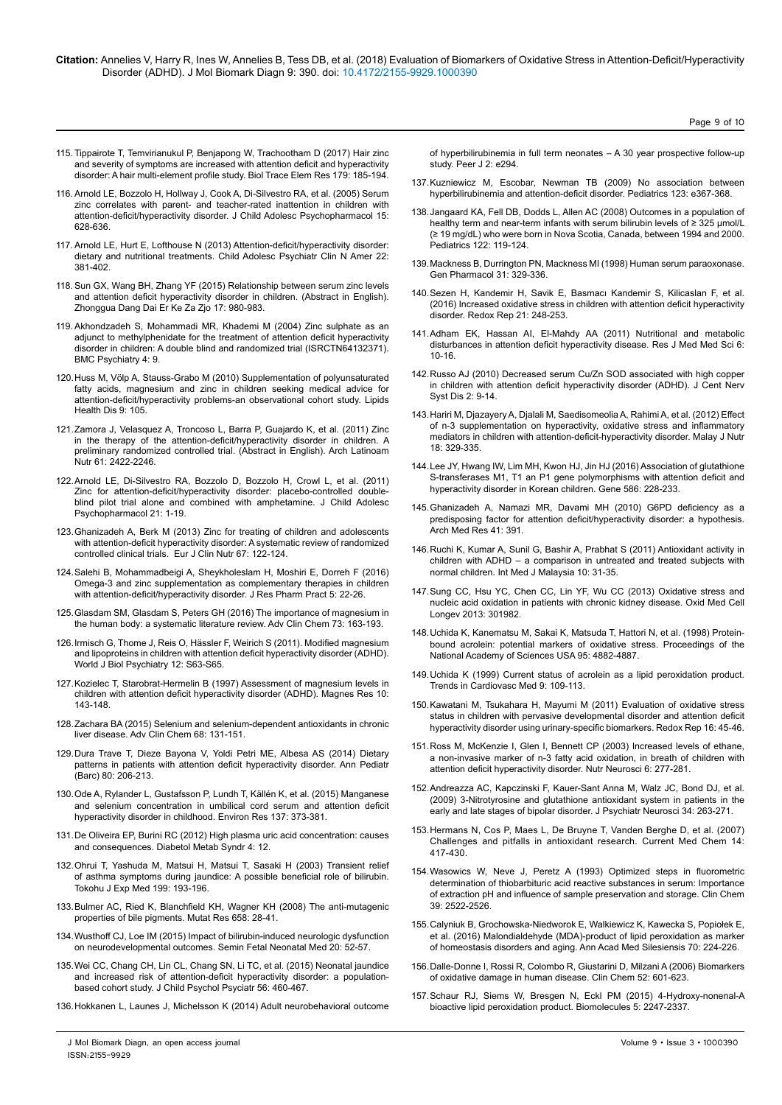- 115. [Tippairote T, Temvirianukul P, Benjapong W, Trachootham D \(2017\) Hair zinc](https://doi.org/10.1007/s12011-017-0978-2) [and severity of symptoms are increased with attention deficit and hyperactivity](https://doi.org/10.1007/s12011-017-0978-2) [disorder: A hair multi-element profile study. Biol Trace Elem Res 179: 185-194.](https://doi.org/10.1007/s12011-017-0978-2)
- 116.[Arnold LE, Bozzolo H, Hollway J, Cook A, Di-Silvestro RA, et al. \(2005\) Serum](https://doi.org/10.1089/cap.2005.15.628) [zinc correlates with parent- and teacher-rated inattention in children with](https://doi.org/10.1089/cap.2005.15.628) [attention-deficit/hyperactivity disorder. J Child Adolesc Psychopharmacol 15:](https://doi.org/10.1089/cap.2005.15.628) [628-636.](https://doi.org/10.1089/cap.2005.15.628)
- 117.[Arnold LE, Hurt E, Lofthouse N \(2013\) Attention-deficit/hyperactivity disorder:](https://doi.org/10.1016/j.chc.2013.03.001) [dietary and nutritional treatments. Child Adolesc Psychiatr Clin N Amer 22:](https://doi.org/10.1016/j.chc.2013.03.001) [381-402.](https://doi.org/10.1016/j.chc.2013.03.001)
- 118.Sun GX, Wang BH, Zhang YF (2015) Relationship between serum zinc levels and attention deficit hyperactivity disorder in children. (Abstract in English). Zhonggua Dang Dai Er Ke Za Zjo 17: 980-983.
- 119.[Akhondzadeh S, Mohammadi MR, Khademi M \(2004\) Zinc sulphate as an](https://doi.org/10.1186/1471-244X-4-9) [adjunct to methylphenidate for the treatment of attention deficit hyperactivity](https://doi.org/10.1186/1471-244X-4-9) [disorder in children: A double blind and randomized trial \(ISRCTN64132371\).](https://doi.org/10.1186/1471-244X-4-9) [BMC Psychiatry 4: 9.](https://doi.org/10.1186/1471-244X-4-9)
- 120.[Huss M, Völp A, Stauss-Grabo M \(2010\) Supplementation of polyunsaturated](https://doi.org/10.1186/1476-511X-9-105) [fatty acids, magnesium and zinc in children seeking medical advice for](https://doi.org/10.1186/1476-511X-9-105) [attention-deficit/hyperactivity problems-an observational cohort study. Lipids](https://doi.org/10.1186/1476-511X-9-105) [Health Dis 9: 105.](https://doi.org/10.1186/1476-511X-9-105)
- 121.[Zamora J, Velasquez A, Troncoso L, Barra P, Guajardo K, et al. \(2011\) Zinc](https://www.alanrevista.org/ediciones/2011/3/art-2/) [in the therapy of the attention-deficit/hyperactivity disorder in children. A](https://www.alanrevista.org/ediciones/2011/3/art-2/) [preliminary randomized controlled trial. \(Abstract in English\). Arch Latinoam](https://www.alanrevista.org/ediciones/2011/3/art-2/) [Nutr 61: 2422-2246.](https://www.alanrevista.org/ediciones/2011/3/art-2/)
- 122.[Arnold LE, Di-Silvestro RA, Bozzolo D, Bozzolo H, Crowl L, et al. \(2011\)](https://doi.org/10.1089/cap.2010.0073) [Zinc for attention-deficit/hyperactivity disorder: placebo-controlled double](https://doi.org/10.1089/cap.2010.0073)[blind pilot trial alone and combined with amphetamine. J Child Adolesc](https://doi.org/10.1089/cap.2010.0073) [Psychopharmacol 21: 1-19.](https://doi.org/10.1089/cap.2010.0073)
- 123.[Ghanizadeh A, Berk M \(2013\) Zinc for treating of children and adolescents](https://doi.org/10.1038/ejcn.2012.177) [with attention-deficit hyperactivity disorder: A systematic review of randomized](https://doi.org/10.1038/ejcn.2012.177) [controlled clinical trials. Eur J Clin Nutr 67: 122-124.](https://doi.org/10.1038/ejcn.2012.177)
- 124.[Salehi B, Mohammadbeigi A, Sheykholeslam H, Moshiri E, Dorreh F \(2016\)](https://doi.org/10.4103/2279-042X.176561) [Omega-3 and zinc supplementation as complementary therapies in children](https://doi.org/10.4103/2279-042X.176561) [with attention-deficit/hyperactivity disorder. J Res Pharm Pract 5: 22-26.](https://doi.org/10.4103/2279-042X.176561)
- 125.[Glasdam SM, Glasdam S, Peters GH \(2016\) The importance of magnesium in](https://doi.org/10.1016/bs.acc.2015.10.002) [the human body: a systematic literature review. Adv Clin Chem 73: 163-193.](https://doi.org/10.1016/bs.acc.2015.10.002)
- 126.[Irmisch G, Thome J, Reis O, Hässler F, Weirich S \(2011\). Modified magnesium](https://doi.org/10.3109/15622975.2011.600292) [and lipoproteins in children with attention deficit hyperactivity disorder \(ADHD\).](https://doi.org/10.3109/15622975.2011.600292) [World J Biol Psychiatry 12: S63-S65.](https://doi.org/10.3109/15622975.2011.600292)
- 127.[Kozielec T, Starobrat-Hermelin B \(1997\) Assessment of magnesium levels in](https://www.researchgate.net/publication/13862115_Assessment_of_magnesium_levels_in_children_with_attention_deficit_hyperactivity_disorder_ADHD) [children with attention deficit hyperactivity disorder \(ADHD\). Magnes Res 10:](https://www.researchgate.net/publication/13862115_Assessment_of_magnesium_levels_in_children_with_attention_deficit_hyperactivity_disorder_ADHD) [143-148.](https://www.researchgate.net/publication/13862115_Assessment_of_magnesium_levels_in_children_with_attention_deficit_hyperactivity_disorder_ADHD)
- 128.[Zachara BA \(2015\) Selenium and selenium-dependent antioxidants in chronic](https://doi.org/10.1016/bs.acc.2014.11.006) [liver disease. Adv Clin Chem 68: 131-151.](https://doi.org/10.1016/bs.acc.2014.11.006)
- 129.[Dura Trave T, Dieze Bayona V, Yoldi Petri ME, Albesa AS \(2014\) Dietary](https://doi.org/10.1016/j.anpedi.2013.05.013) [patterns in patients with attention deficit hyperactivity disorder. Ann Pediatr](https://doi.org/10.1016/j.anpedi.2013.05.013) [\(Barc\) 80: 206-213.](https://doi.org/10.1016/j.anpedi.2013.05.013)
- 130.[Ode A, Rylander L, Gustafsson P, Lundh T, Källén K, et al. \(2015\) Manganese](https://doi.org/10.1016/j.envres.2015.01.001) [and selenium concentration in umbilical cord serum and attention deficit](https://doi.org/10.1016/j.envres.2015.01.001) [hyperactivity disorder in childhood. Environ Res 137: 373-381.](https://doi.org/10.1016/j.envres.2015.01.001)
- 131.[De Oliveira EP, Burini RC \(2012\) High plasma uric acid concentration: causes](https://doi.org/10.1186/1758-5996-4-12) [and consequences. Diabetol Metab Syndr 4: 12.](https://doi.org/10.1186/1758-5996-4-12)
- 132.[Ohrui T, Yashuda M, Matsui H, Matsui T, Sasaki H \(2003\) Transient relief](https://doi.org/10.1620/tjem.199.193) [of asthma symptoms during jaundice: A possible beneficial role of bilirubin.](https://doi.org/10.1620/tjem.199.193) [Tokohu J Exp Med 199: 193-196.](https://doi.org/10.1620/tjem.199.193)
- 133.[Bulmer AC, Ried K, Blanchfield KH, Wagner](https://doi.org/10.1016/j.mrrev.2007.05.001) KH (2008) The anti-mutagenic [properties of bile pigments. Mutat Res 658: 28-41.](https://doi.org/10.1016/j.mrrev.2007.05.001)
- 134.[Wusthoff CJ, Loe IM \(2015\) Impact of bilirubin-induced neurologic dysfunction](https://doi.org/10.1016/j.siny.2014.12.003) [on neurodevelopmental outcomes. Semin Fetal Neonatal Med 20: 52-57.](https://doi.org/10.1016/j.siny.2014.12.003)
- 135.[Wei CC, Chang CH, Lin CL, Chang SN, Li TC, et al. \(2015\) Neonatal jaundice](https://doi.org/10.1111/jcpp.12303) [and increased risk of attention-deficit hyperactivity disorder: a population](https://doi.org/10.1111/jcpp.12303)[based cohort study. J Child Psychol Psyciatr 56: 460-467.](https://doi.org/10.1111/jcpp.12303)
- 136.[Hokkanen L, Launes J, Michelsson K \(2014\) Adult neurobehavioral outcome](https://dx.doi.org/10.7717/peerj.294)

[of hyperbilirubinemia in full term neonates – A 30 year prospective follow-up](https://dx.doi.org/10.7717/peerj.294)  [study. Peer J 2: e294.](https://dx.doi.org/10.7717/peerj.294)

Page 9 of 10

- 137.[Kuzniewicz M, Escobar, Newman TB \(2009\) No association between](https://doi.org/10.1542/peds.2008-2803)  [hyperbilirubinemia and attention-deficit disorder. Pediatrics 123: e367-368.](https://doi.org/10.1542/peds.2008-2803)
- 138.[Jangaard KA, Fell DB, Dodds L, Allen AC \(2008\) Outcomes in a population of](http://pediatrics.aappublications.org/content/122/1/119.full)  healthy term and near-term infants with serum bilirubin levels of ≥ 325 µmol/L [\(≥ 19 mg/dL\) who were born in Nova Scotia, Canada, between 1994 and 2000.](http://pediatrics.aappublications.org/content/122/1/119.full)  [Pediatrics 122: 119-124.](http://pediatrics.aappublications.org/content/122/1/119.full)
- 139.[Mackness B, Durrington PN, Mackness MI \(1998\) Human serum paraoxonase.](https://doi.org/10.1016/S0306-3623(98)00028-7)  [Gen Pharmacol 31: 329-336.](https://doi.org/10.1016/S0306-3623(98)00028-7)
- 140.[Sezen H, Kandemir H, Savik E, Basmacı Kandemir S, Kilicaslan F, et al.](https://doi.org/10.1080/13510002.2015.1116729)  [\(2016\) Increased oxidative stress in children with attention deficit hyperactivity](https://doi.org/10.1080/13510002.2015.1116729)  [disorder. Redox Rep 21: 248-253.](https://doi.org/10.1080/13510002.2015.1116729)
- 141.[Adham EK, Hassan AI, El-Mahdy AA \(2011\) Nutritional and metabolic](http://arnmsmb.com/old/rjmms/rjmms/2011/10-16.pdf)  [disturbances in attention deficit hyperactivity disease. Res J Med Med Sci 6:](http://arnmsmb.com/old/rjmms/rjmms/2011/10-16.pdf)  [10-16.](http://arnmsmb.com/old/rjmms/rjmms/2011/10-16.pdf)
- 142.[Russo AJ \(2010\) Decreased serum Cu/Zn SOD associated with high copper](https://doi.org/10.4137/JCNSD.S4553)  [in children with attention deficit hyperactivity disorder \(ADHD\). J Cent Nerv](https://doi.org/10.4137/JCNSD.S4553)  [Syst Dis 2: 9-14.](https://doi.org/10.4137/JCNSD.S4553)
- 143.[Hariri M, Djazayery A, Djalali M, Saedisomeolia A, Rahimi A, et al. \(2012\) Effect](https://www.semanticscholar.org/paper/Effect-of-n-3-Supplementation-in-Children-with-ADHD-Nutr/75afcc2af94e53cfa4059edc2b7d032750293760)  [of n-3 supplementation on hyperactivity, oxidative stress and inflammatory](https://www.semanticscholar.org/paper/Effect-of-n-3-Supplementation-in-Children-with-ADHD-Nutr/75afcc2af94e53cfa4059edc2b7d032750293760)  [mediators in children with attention-deficit-hyperactivity disorder. Malay J Nutr](https://www.semanticscholar.org/paper/Effect-of-n-3-Supplementation-in-Children-with-ADHD-Nutr/75afcc2af94e53cfa4059edc2b7d032750293760)  [18: 329-335.](https://www.semanticscholar.org/paper/Effect-of-n-3-Supplementation-in-Children-with-ADHD-Nutr/75afcc2af94e53cfa4059edc2b7d032750293760)
- 144.[Lee JY, Hwang IW, Lim MH, Kwon HJ, Jin HJ \(2016\) Association of glutathione](https://doi.org/10.1016/j.gene.2016.04.010)  S-transferases M1, [T1 an P1 gene polymorphisms with attention deficit and](https://doi.org/10.1016/j.gene.2016.04.010)  [hyperactivity disorder in Korean children. Gene 586: 228-233.](https://doi.org/10.1016/j.gene.2016.04.010)
- 145.[Ghanizadeh A, Namazi MR, Davami MH \(2010\) G6PD deficiency as a](https://doi.org/10.1016/j.arcmed.2010.07.002)  [predisposing factor for attention deficit/hyperactivity disorder: a hypothesis.](https://doi.org/10.1016/j.arcmed.2010.07.002)  [Arch Med Res 41: 391.](https://doi.org/10.1016/j.arcmed.2010.07.002)
- 146.[Ruchi K, Kumar A, Sunil G, Bashir A, Prabhat S \(2011\) Antioxidant activity in](http://iiumedic.net/imjm/v1/download/Volume 10 No 1/IMJMVol10No1_pg31-35.pdf)  children with ADHD – a comparison in untreated and treated subjects with [normal children. Int Med J Malaysia 10: 31-35.](http://iiumedic.net/imjm/v1/download/Volume 10 No 1/IMJMVol10No1_pg31-35.pdf)
- 147.[Sung CC, Hsu YC, Chen CC, Lin YF, Wu CC \(2013\) Oxidative stress and](http://dx.doi;org/10.1155/2013/301982)  [nucleic acid oxidation in patients with chronic kidney disease. Oxid Med Cell](http://dx.doi;org/10.1155/2013/301982)  [Longev 2013: 301982.](http://dx.doi;org/10.1155/2013/301982)
- 148.[Uchida K, Kanematsu M, Sakai K, Matsuda T, Hattori N, et al. \(1998\) Protein](https://doi.org/10.1073/pnas.95.9.4882)[bound acrolein: potential markers of oxidative stress. Proceedings of the](https://doi.org/10.1073/pnas.95.9.4882)  [National Academy of Sciences USA 95: 4882-4887.](https://doi.org/10.1073/pnas.95.9.4882)
- 149.[Uchida K \(1999\) Current status of acrolein as a lipid peroxidation product.](https://doi.org/10.1016/S1050-1738(99)00016-X)  [Trends in Cardiovasc Med 9: 109-113.](https://doi.org/10.1016/S1050-1738(99)00016-X)
- 150.[Kawatani M, Tsukahara H, Mayumi M \(2011\) Evaluation of oxidative stress](https://doi.org/10.1179/174329211X12968219310873)  [status in children with pervasive developmental disorder and attention deficit](https://doi.org/10.1179/174329211X12968219310873)  [hyperactivity disorder using urinary-specific biomarkers. Redox Rep 16: 45-46.](https://doi.org/10.1179/174329211X12968219310873)
- 151.[Ross M, McKenzie I, Glen I, Bennett CP \(2003\) Increased levels of ethane,](https://doi.org/10.1080/10284150310001612203)  [a non-invasive marker of n-3 fatty acid oxidation, in breath of children with](https://doi.org/10.1080/10284150310001612203)  [attention deficit hyperactivity disorder. Nutr Neurosci 6: 277-281.](https://doi.org/10.1080/10284150310001612203)
- 152.[Andreazza AC, Kapczinski F, Kauer-Sant Anna M, Walz JC, Bond DJ, et al.](http://jpn.ca/vol34-issue4/34-4-263/)  [\(2009\) 3-Nitrotyrosine and glutathione antioxidant system in patients in the](http://jpn.ca/vol34-issue4/34-4-263/)  [early and late stages of bipolar disorder. J Psychiatr Neurosci 34: 263-271.](http://jpn.ca/vol34-issue4/34-4-263/)
- 153.[Hermans N, Cos P, Maes L, De Bruyne T, Vanden Berghe D, et al. \(2007\)](https://doi.org/10.2174/092986707779941005)  [Challenges and pitfalls in antioxidant research. Current Med Chem 14:](https://doi.org/10.2174/092986707779941005)  [417-430.](https://doi.org/10.2174/092986707779941005)
- 154.[Wasowics W, Neve J, Peretz A \(1993\) Optimized steps in fluorometric](http://clinchem.aaccjnls.org/content/39/12/2522.long)  [determination of thiobarbituric acid reactive substances in serum: Importance](http://clinchem.aaccjnls.org/content/39/12/2522.long)  [of extraction pH and influence of sample preservation and storage. Clin Chem](http://clinchem.aaccjnls.org/content/39/12/2522.long)  [39: 2522-2526.](http://clinchem.aaccjnls.org/content/39/12/2522.long)
- 155.[Calyniuk B, Grochowska-Niedworok E, Walkiewicz K, Kawecka S, Popiołek E,](http://annales.sum.edu.pl/index.php?option=com_content&view=article&id=506:32-2016&catid=53&Itemid=270&lang=pl)  [et al. \(2016\) Malondialdehyde \(MDA\)-product of lipid peroxidation as marker](http://annales.sum.edu.pl/index.php?option=com_content&view=article&id=506:32-2016&catid=53&Itemid=270&lang=pl)  [of homeostasis disorders and aging. Ann Acad Med Silesiensis 70: 224-226.](http://annales.sum.edu.pl/index.php?option=com_content&view=article&id=506:32-2016&catid=53&Itemid=270&lang=pl)
- 156.[Dalle-Donne I, Rossi R, Colombo R, Giustarini D, Milzani A \(2006\) Biomarkers](https://doi.org/10.1373/clinchem.2005.061408)  [of oxidative damage in human disease. Clin Chem 52: 601-623.](https://doi.org/10.1373/clinchem.2005.061408)
- 157.[Schaur RJ, Siems W, Bresgen N, Eckl PM \(2015\) 4-Hydroxy-nonenal-A](https://doi.org/10.3390/biom5042247)  [bioactive lipid peroxidation product. Biomolecules 5: 2247-2337.](https://doi.org/10.3390/biom5042247)